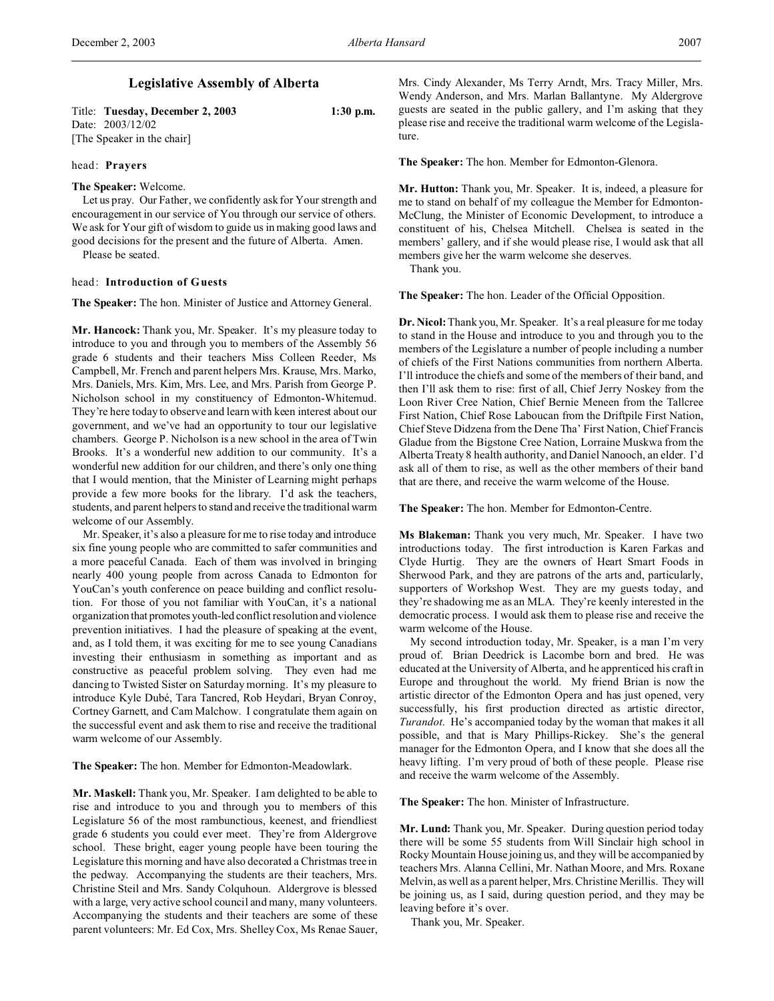# **Legislative Assembly of Alberta**

Title: **Tuesday, December 2, 2003 1:30 p.m.** Date: 2003/12/02 [The Speaker in the chair]

### head: **Prayers**

### **The Speaker:** Welcome.

Let us pray. Our Father, we confidently ask for Your strength and encouragement in our service of You through our service of others. We ask for Your gift of wisdom to guide us in making good laws and good decisions for the present and the future of Alberta. Amen. Please be seated.

# head: **Introduction of Guests**

**The Speaker:** The hon. Minister of Justice and Attorney General.

**Mr. Hancock:** Thank you, Mr. Speaker. It's my pleasure today to introduce to you and through you to members of the Assembly 56 grade 6 students and their teachers Miss Colleen Reeder, Ms Campbell, Mr. French and parent helpers Mrs. Krause, Mrs. Marko, Mrs. Daniels, Mrs. Kim, Mrs. Lee, and Mrs. Parish from George P. Nicholson school in my constituency of Edmonton-Whitemud. They're here today to observe and learn with keen interest about our government, and we've had an opportunity to tour our legislative chambers. George P. Nicholson is a new school in the area of Twin Brooks. It's a wonderful new addition to our community. It's a wonderful new addition for our children, and there's only one thing that I would mention, that the Minister of Learning might perhaps provide a few more books for the library. I'd ask the teachers, students, and parent helpers to stand and receive the traditional warm welcome of our Assembly.

Mr. Speaker, it's also a pleasure for me to rise today and introduce six fine young people who are committed to safer communities and a more peaceful Canada. Each of them was involved in bringing nearly 400 young people from across Canada to Edmonton for YouCan's youth conference on peace building and conflict resolution. For those of you not familiar with YouCan, it's a national organization that promotes youth-led conflict resolution and violence prevention initiatives. I had the pleasure of speaking at the event, and, as I told them, it was exciting for me to see young Canadians investing their enthusiasm in something as important and as constructive as peaceful problem solving. They even had me dancing to Twisted Sister on Saturday morning. It's my pleasure to introduce Kyle Dubé, Tara Tancred, Rob Heydari, Bryan Conroy, Cortney Garnett, and Cam Malchow. I congratulate them again on the successful event and ask them to rise and receive the traditional warm welcome of our Assembly.

**The Speaker:** The hon. Member for Edmonton-Meadowlark.

**Mr. Maskell:** Thank you, Mr. Speaker. I am delighted to be able to rise and introduce to you and through you to members of this Legislature 56 of the most rambunctious, keenest, and friendliest grade 6 students you could ever meet. They're from Aldergrove school. These bright, eager young people have been touring the Legislature this morning and have also decorated a Christmas tree in the pedway. Accompanying the students are their teachers, Mrs. Christine Steil and Mrs. Sandy Colquhoun. Aldergrove is blessed with a large, very active school council and many, many volunteers. Accompanying the students and their teachers are some of these parent volunteers: Mr. Ed Cox, Mrs. Shelley Cox, Ms Renae Sauer,

Mrs. Cindy Alexander, Ms Terry Arndt, Mrs. Tracy Miller, Mrs. Wendy Anderson, and Mrs. Marlan Ballantyne. My Aldergrove guests are seated in the public gallery, and I'm asking that they please rise and receive the traditional warm welcome of the Legislature.

**The Speaker:** The hon. Member for Edmonton-Glenora.

**Mr. Hutton:** Thank you, Mr. Speaker. It is, indeed, a pleasure for me to stand on behalf of my colleague the Member for Edmonton-McClung, the Minister of Economic Development, to introduce a constituent of his, Chelsea Mitchell. Chelsea is seated in the members' gallery, and if she would please rise, I would ask that all members give her the warm welcome she deserves.

Thank you.

**The Speaker:** The hon. Leader of the Official Opposition.

**Dr. Nicol:** Thank you, Mr. Speaker. It's a real pleasure for me today to stand in the House and introduce to you and through you to the members of the Legislature a number of people including a number of chiefs of the First Nations communities from northern Alberta. I'll introduce the chiefs and some of the members of their band, and then I'll ask them to rise: first of all, Chief Jerry Noskey from the Loon River Cree Nation, Chief Bernie Meneen from the Tallcree First Nation, Chief Rose Laboucan from the Driftpile First Nation, Chief Steve Didzena from the Dene Tha' First Nation, Chief Francis Gladue from the Bigstone Cree Nation, Lorraine Muskwa from the Alberta Treaty 8 health authority, and Daniel Nanooch, an elder. I'd ask all of them to rise, as well as the other members of their band that are there, and receive the warm welcome of the House.

**The Speaker:** The hon. Member for Edmonton-Centre.

**Ms Blakeman:** Thank you very much, Mr. Speaker. I have two introductions today. The first introduction is Karen Farkas and Clyde Hurtig. They are the owners of Heart Smart Foods in Sherwood Park, and they are patrons of the arts and, particularly, supporters of Workshop West. They are my guests today, and they're shadowing me as an MLA. They're keenly interested in the democratic process. I would ask them to please rise and receive the warm welcome of the House.

My second introduction today, Mr. Speaker, is a man I'm very proud of. Brian Deedrick is Lacombe born and bred. He was educated at the University of Alberta, and he apprenticed his craft in Europe and throughout the world. My friend Brian is now the artistic director of the Edmonton Opera and has just opened, very successfully, his first production directed as artistic director, *Turandot*. He's accompanied today by the woman that makes it all possible, and that is Mary Phillips-Rickey. She's the general manager for the Edmonton Opera, and I know that she does all the heavy lifting. I'm very proud of both of these people. Please rise and receive the warm welcome of the Assembly.

**The Speaker:** The hon. Minister of Infrastructure.

**Mr. Lund:** Thank you, Mr. Speaker. During question period today there will be some 55 students from Will Sinclair high school in Rocky Mountain House joining us, and they will be accompanied by teachers Mrs. Alanna Cellini, Mr. Nathan Moore, and Mrs. Roxane Melvin, as well as a parent helper, Mrs. Christine Merillis. They will be joining us, as I said, during question period, and they may be leaving before it's over.

Thank you, Mr. Speaker.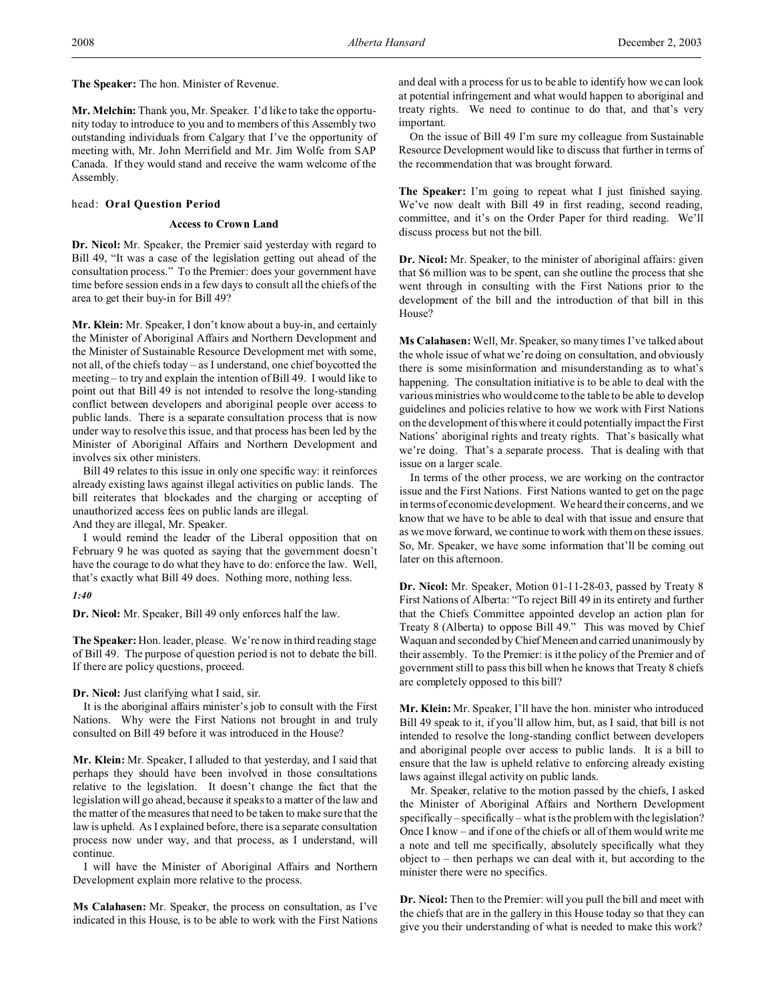**The Speaker:** The hon. Minister of Revenue.

**Mr. Melchin:** Thank you, Mr. Speaker. I'd like to take the opportunity today to introduce to you and to members of this Assembly two outstanding individuals from Calgary that I've the opportunity of meeting with, Mr. John Merrifield and Mr. Jim Wolfe from SAP Canada. If they would stand and receive the warm welcome of the Assembly.

### head: **Oral Question Period**

# **Access to Crown Land**

**Dr. Nicol:** Mr. Speaker, the Premier said yesterday with regard to Bill 49, "It was a case of the legislation getting out ahead of the consultation process." To the Premier: does your government have time before session ends in a few days to consult all the chiefs of the area to get their buy-in for Bill 49?

**Mr. Klein:** Mr. Speaker, I don't know about a buy-in, and certainly the Minister of Aboriginal Affairs and Northern Development and the Minister of Sustainable Resource Development met with some, not all, of the chiefs today – as I understand, one chief boycotted the meeting – to try and explain the intention of Bill 49. I would like to point out that Bill 49 is not intended to resolve the long-standing conflict between developers and aboriginal people over access to public lands. There is a separate consultation process that is now under way to resolve this issue, and that process has been led by the Minister of Aboriginal Affairs and Northern Development and involves six other ministers.

Bill 49 relates to this issue in only one specific way: it reinforces already existing laws against illegal activities on public lands. The bill reiterates that blockades and the charging or accepting of unauthorized access fees on public lands are illegal.

And they are illegal, Mr. Speaker.

I would remind the leader of the Liberal opposition that on February 9 he was quoted as saying that the government doesn't have the courage to do what they have to do: enforce the law. Well, that's exactly what Bill 49 does. Nothing more, nothing less.

#### *1:40*

**Dr. Nicol:** Mr. Speaker, Bill 49 only enforces half the law.

**The Speaker:** Hon. leader, please. We're now in third reading stage of Bill 49. The purpose of question period is not to debate the bill. If there are policy questions, proceed.

## **Dr. Nicol:** Just clarifying what I said, sir.

It is the aboriginal affairs minister's job to consult with the First Nations. Why were the First Nations not brought in and truly consulted on Bill 49 before it was introduced in the House?

**Mr. Klein:** Mr. Speaker, I alluded to that yesterday, and I said that perhaps they should have been involved in those consultations relative to the legislation. It doesn't change the fact that the legislation will go ahead, because it speaks to a matter of the law and the matter of the measures that need to be taken to make sure that the law is upheld. As I explained before, there is a separate consultation process now under way, and that process, as I understand, will continue.

I will have the Minister of Aboriginal Affairs and Northern Development explain more relative to the process.

**Ms Calahasen:** Mr. Speaker, the process on consultation, as I've indicated in this House, is to be able to work with the First Nations

and deal with a process for us to be able to identify how we can look at potential infringement and what would happen to aboriginal and treaty rights. We need to continue to do that, and that's very important.

On the issue of Bill 49 I'm sure my colleague from Sustainable Resource Development would like to discuss that further in terms of the recommendation that was brought forward.

**The Speaker:** I'm going to repeat what I just finished saying. We've now dealt with Bill 49 in first reading, second reading, committee, and it's on the Order Paper for third reading. We'll discuss process but not the bill.

**Dr. Nicol:** Mr. Speaker, to the minister of aboriginal affairs: given that \$6 million was to be spent, can she outline the process that she went through in consulting with the First Nations prior to the development of the bill and the introduction of that bill in this House?

**Ms Calahasen:** Well, Mr. Speaker, so many times I've talked about the whole issue of what we're doing on consultation, and obviously there is some misinformation and misunderstanding as to what's happening. The consultation initiative is to be able to deal with the various ministries who would come to the table to be able to develop guidelines and policies relative to how we work with First Nations on the development of this where it could potentially impact the First Nations' aboriginal rights and treaty rights. That's basically what we're doing. That's a separate process. That is dealing with that issue on a larger scale.

In terms of the other process, we are working on the contractor issue and the First Nations. First Nations wanted to get on the page in terms of economic development. We heard their concerns, and we know that we have to be able to deal with that issue and ensure that as we move forward, we continue to work with them on these issues. So, Mr. Speaker, we have some information that'll be coming out later on this afternoon.

**Dr. Nicol:** Mr. Speaker, Motion 01-11-28-03, passed by Treaty 8 First Nations of Alberta: "To reject Bill 49 in its entirety and further that the Chiefs Committee appointed develop an action plan for Treaty 8 (Alberta) to oppose Bill 49." This was moved by Chief Waquan and seconded by Chief Meneen and carried unanimously by their assembly. To the Premier: is it the policy of the Premier and of government still to pass this bill when he knows that Treaty 8 chiefs are completely opposed to this bill?

**Mr. Klein:** Mr. Speaker, I'll have the hon. minister who introduced Bill 49 speak to it, if you'll allow him, but, as I said, that bill is not intended to resolve the long-standing conflict between developers and aboriginal people over access to public lands. It is a bill to ensure that the law is upheld relative to enforcing already existing laws against illegal activity on public lands.

Mr. Speaker, relative to the motion passed by the chiefs, I asked the Minister of Aboriginal Affairs and Northern Development specifically – specifically – what is the problem with the legislation? Once I know – and if one of the chiefs or all of them would write me a note and tell me specifically, absolutely specifically what they object to – then perhaps we can deal with it, but according to the minister there were no specifics.

**Dr. Nicol:** Then to the Premier: will you pull the bill and meet with the chiefs that are in the gallery in this House today so that they can give you their understanding of what is needed to make this work?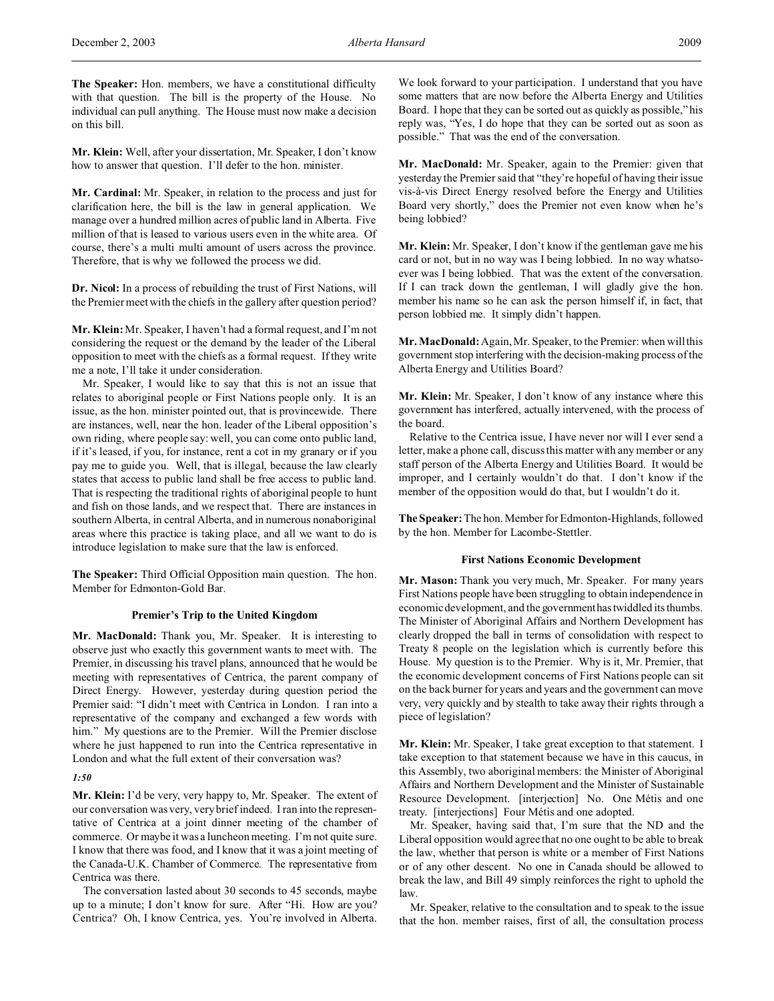**Mr. Klein:** Well, after your dissertation, Mr. Speaker, I don't know how to answer that question. I'll defer to the hon. minister.

**Mr. Cardinal:** Mr. Speaker, in relation to the process and just for clarification here, the bill is the law in general application. We manage over a hundred million acres of public land in Alberta. Five million of that is leased to various users even in the white area. Of course, there's a multi multi amount of users across the province. Therefore, that is why we followed the process we did.

**Dr. Nicol:** In a process of rebuilding the trust of First Nations, will the Premier meet with the chiefs in the gallery after question period?

**Mr. Klein:** Mr. Speaker, I haven't had a formal request, and I'm not considering the request or the demand by the leader of the Liberal opposition to meet with the chiefs as a formal request. If they write me a note, I'll take it under consideration.

Mr. Speaker, I would like to say that this is not an issue that relates to aboriginal people or First Nations people only. It is an issue, as the hon. minister pointed out, that is provincewide. There are instances, well, near the hon. leader of the Liberal opposition's own riding, where people say: well, you can come onto public land, if it's leased, if you, for instance, rent a cot in my granary or if you pay me to guide you. Well, that is illegal, because the law clearly states that access to public land shall be free access to public land. That is respecting the traditional rights of aboriginal people to hunt and fish on those lands, and we respect that. There are instances in southern Alberta, in central Alberta, and in numerous nonaboriginal areas where this practice is taking place, and all we want to do is introduce legislation to make sure that the law is enforced.

**The Speaker:** Third Official Opposition main question. The hon. Member for Edmonton-Gold Bar.

### **Premier's Trip to the United Kingdom**

**Mr. MacDonald:** Thank you, Mr. Speaker. It is interesting to observe just who exactly this government wants to meet with. The Premier, in discussing his travel plans, announced that he would be meeting with representatives of Centrica, the parent company of Direct Energy. However, yesterday during question period the Premier said: "I didn't meet with Centrica in London. I ran into a representative of the company and exchanged a few words with him." My questions are to the Premier. Will the Premier disclose where he just happened to run into the Centrica representative in London and what the full extent of their conversation was?

### *1:50*

**Mr. Klein:** I'd be very, very happy to, Mr. Speaker. The extent of our conversation was very, very brief indeed. I ran into the representative of Centrica at a joint dinner meeting of the chamber of commerce. Or maybe it was a luncheon meeting. I'm not quite sure. I know that there was food, and I know that it was a joint meeting of the Canada-U.K. Chamber of Commerce. The representative from Centrica was there.

The conversation lasted about 30 seconds to 45 seconds, maybe up to a minute; I don't know for sure. After "Hi. How are you? Centrica? Oh, I know Centrica, yes. You're involved in Alberta. We look forward to your participation. I understand that you have some matters that are now before the Alberta Energy and Utilities Board. I hope that they can be sorted out as quickly as possible," his reply was, "Yes, I do hope that they can be sorted out as soon as possible." That was the end of the conversation.

**Mr. MacDonald:** Mr. Speaker, again to the Premier: given that yesterday the Premier said that "they're hopeful of having their issue vis-à-vis Direct Energy resolved before the Energy and Utilities Board very shortly," does the Premier not even know when he's being lobbied?

**Mr. Klein:** Mr. Speaker, I don't know if the gentleman gave me his card or not, but in no way was I being lobbied. In no way whatsoever was I being lobbied. That was the extent of the conversation. If I can track down the gentleman, I will gladly give the hon. member his name so he can ask the person himself if, in fact, that person lobbied me. It simply didn't happen.

**Mr. MacDonald:** Again, Mr. Speaker, to the Premier: when will this government stop interfering with the decision-making process of the Alberta Energy and Utilities Board?

**Mr. Klein:** Mr. Speaker, I don't know of any instance where this government has interfered, actually intervened, with the process of the board.

Relative to the Centrica issue, I have never nor will I ever send a letter, make a phone call, discuss this matter with any member or any staff person of the Alberta Energy and Utilities Board. It would be improper, and I certainly wouldn't do that. I don't know if the member of the opposition would do that, but I wouldn't do it.

**The Speaker:** The hon. Member for Edmonton-Highlands, followed by the hon. Member for Lacombe-Stettler.

#### **First Nations Economic Development**

**Mr. Mason:** Thank you very much, Mr. Speaker. For many years First Nations people have been struggling to obtain independence in economic development, and the governmenthastwiddled its thumbs. The Minister of Aboriginal Affairs and Northern Development has clearly dropped the ball in terms of consolidation with respect to Treaty 8 people on the legislation which is currently before this House. My question is to the Premier. Why is it, Mr. Premier, that the economic development concerns of First Nations people can sit on the back burner for years and years and the government can move very, very quickly and by stealth to take away their rights through a piece of legislation?

**Mr. Klein:** Mr. Speaker, I take great exception to that statement. I take exception to that statement because we have in this caucus, in this Assembly, two aboriginal members: the Minister of Aboriginal Affairs and Northern Development and the Minister of Sustainable Resource Development. [interjection] No. One Métis and one treaty. [interjections] Four Métis and one adopted.

Mr. Speaker, having said that, I'm sure that the ND and the Liberal opposition would agree that no one ought to be able to break the law, whether that person is white or a member of First Nations or of any other descent. No one in Canada should be allowed to break the law, and Bill 49 simply reinforces the right to uphold the law.

Mr. Speaker, relative to the consultation and to speak to the issue that the hon. member raises, first of all, the consultation process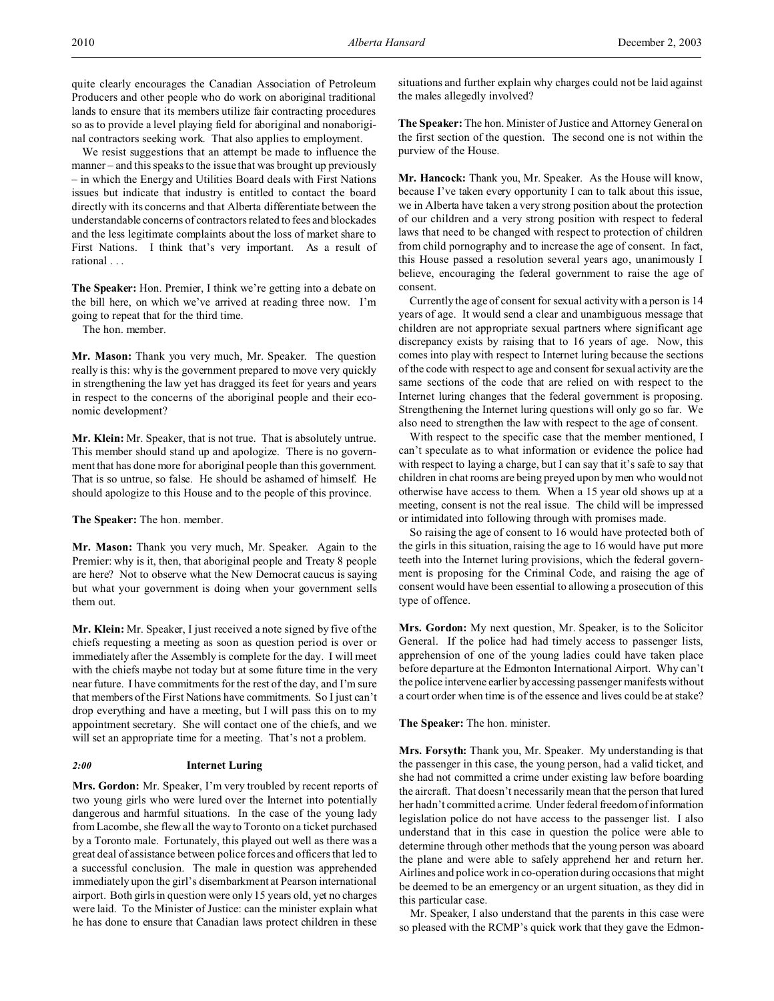We resist suggestions that an attempt be made to influence the manner – and this speaks to the issue that was brought up previously – in which the Energy and Utilities Board deals with First Nations issues but indicate that industry is entitled to contact the board directly with its concerns and that Alberta differentiate between the understandable concerns of contractors related to fees and blockades and the less legitimate complaints about the loss of market share to First Nations. I think that's very important. As a result of rational . . .

**The Speaker:** Hon. Premier, I think we're getting into a debate on the bill here, on which we've arrived at reading three now. I'm going to repeat that for the third time.

The hon. member.

**Mr. Mason:** Thank you very much, Mr. Speaker. The question really is this: why is the government prepared to move very quickly in strengthening the law yet has dragged its feet for years and years in respect to the concerns of the aboriginal people and their economic development?

**Mr. Klein:** Mr. Speaker, that is not true. That is absolutely untrue. This member should stand up and apologize. There is no government that has done more for aboriginal people than this government. That is so untrue, so false. He should be ashamed of himself. He should apologize to this House and to the people of this province.

**The Speaker:** The hon. member.

**Mr. Mason:** Thank you very much, Mr. Speaker. Again to the Premier: why is it, then, that aboriginal people and Treaty 8 people are here? Not to observe what the New Democrat caucus is saying but what your government is doing when your government sells them out.

**Mr. Klein:** Mr. Speaker, I just received a note signed by five of the chiefs requesting a meeting as soon as question period is over or immediately after the Assembly is complete for the day. I will meet with the chiefs maybe not today but at some future time in the very near future. I have commitments for the rest of the day, and I'm sure that members of the First Nations have commitments. So I just can't drop everything and have a meeting, but I will pass this on to my appointment secretary. She will contact one of the chiefs, and we will set an appropriate time for a meeting. That's not a problem.

## *2:00* **Internet Luring**

**Mrs. Gordon:** Mr. Speaker, I'm very troubled by recent reports of two young girls who were lured over the Internet into potentially dangerous and harmful situations. In the case of the young lady from Lacombe, she flew all the way to Toronto on a ticket purchased by a Toronto male. Fortunately, this played out well as there was a great deal of assistance between police forces and officers that led to a successful conclusion. The male in question was apprehended immediately upon the girl's disembarkment at Pearson international airport. Both girls in question were only 15 years old, yet no charges were laid. To the Minister of Justice: can the minister explain what he has done to ensure that Canadian laws protect children in these

situations and further explain why charges could not be laid against the males allegedly involved?

**The Speaker:** The hon. Minister of Justice and Attorney General on the first section of the question. The second one is not within the purview of the House.

**Mr. Hancock:** Thank you, Mr. Speaker. As the House will know, because I've taken every opportunity I can to talk about this issue, we in Alberta have taken a very strong position about the protection of our children and a very strong position with respect to federal laws that need to be changed with respect to protection of children from child pornography and to increase the age of consent. In fact, this House passed a resolution several years ago, unanimously I believe, encouraging the federal government to raise the age of consent.

Currently the age of consent for sexual activity with a person is 14 years of age. It would send a clear and unambiguous message that children are not appropriate sexual partners where significant age discrepancy exists by raising that to 16 years of age. Now, this comes into play with respect to Internet luring because the sections of the code with respect to age and consent for sexual activity are the same sections of the code that are relied on with respect to the Internet luring changes that the federal government is proposing. Strengthening the Internet luring questions will only go so far. We also need to strengthen the law with respect to the age of consent.

With respect to the specific case that the member mentioned, I can't speculate as to what information or evidence the police had with respect to laying a charge, but I can say that it's safe to say that children in chat rooms are being preyed upon by men who would not otherwise have access to them. When a 15 year old shows up at a meeting, consent is not the real issue. The child will be impressed or intimidated into following through with promises made.

So raising the age of consent to 16 would have protected both of the girls in this situation, raising the age to 16 would have put more teeth into the Internet luring provisions, which the federal government is proposing for the Criminal Code, and raising the age of consent would have been essential to allowing a prosecution of this type of offence.

**Mrs. Gordon:** My next question, Mr. Speaker, is to the Solicitor General. If the police had had timely access to passenger lists, apprehension of one of the young ladies could have taken place before departure at the Edmonton International Airport. Why can't the police intervene earlier by accessing passenger manifests without a court order when time is of the essence and lives could be at stake?

**The Speaker:** The hon. minister.

**Mrs. Forsyth:** Thank you, Mr. Speaker. My understanding is that the passenger in this case, the young person, had a valid ticket, and she had not committed a crime under existing law before boarding the aircraft. That doesn't necessarily mean that the person that lured her hadn't committed a crime. Under federal freedom of information legislation police do not have access to the passenger list. I also understand that in this case in question the police were able to determine through other methods that the young person was aboard the plane and were able to safely apprehend her and return her. Airlines and police work in co-operation during occasions that might be deemed to be an emergency or an urgent situation, as they did in this particular case.

Mr. Speaker, I also understand that the parents in this case were so pleased with the RCMP's quick work that they gave the Edmon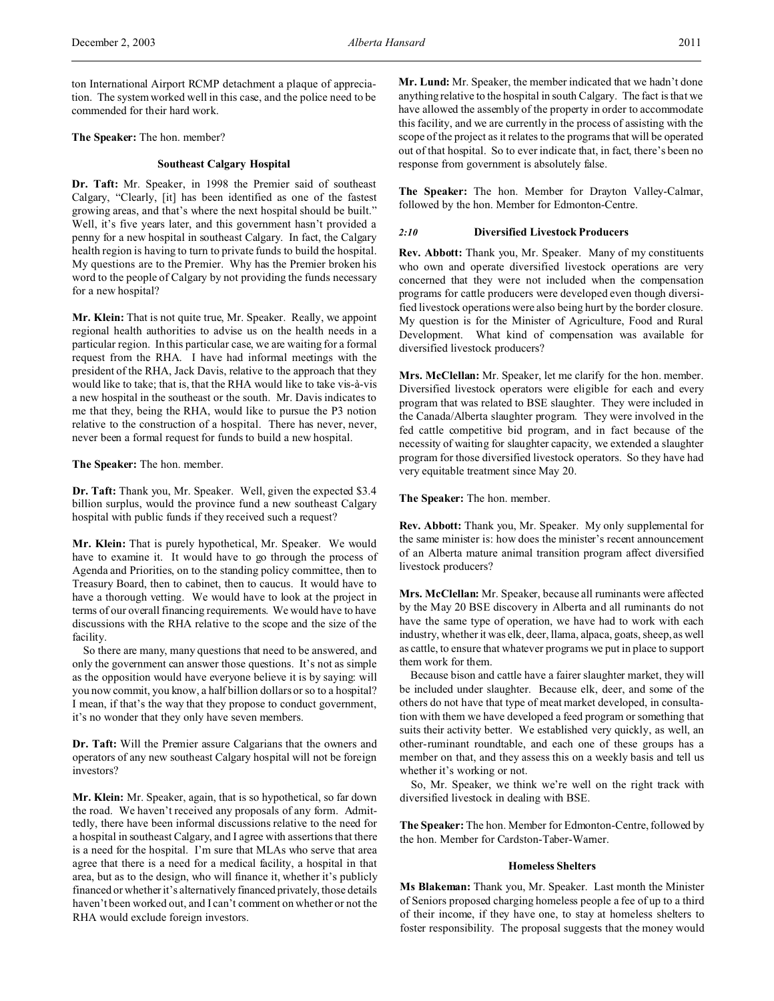ton International Airport RCMP detachment a plaque of appreciation. The system worked well in this case, and the police need to be commended for their hard work.

**The Speaker:** The hon. member?

### **Southeast Calgary Hospital**

**Dr. Taft:** Mr. Speaker, in 1998 the Premier said of southeast Calgary, "Clearly, [it] has been identified as one of the fastest growing areas, and that's where the next hospital should be built." Well, it's five years later, and this government hasn't provided a penny for a new hospital in southeast Calgary. In fact, the Calgary health region is having to turn to private funds to build the hospital. My questions are to the Premier. Why has the Premier broken his word to the people of Calgary by not providing the funds necessary for a new hospital?

**Mr. Klein:** That is not quite true, Mr. Speaker. Really, we appoint regional health authorities to advise us on the health needs in a particular region. In this particular case, we are waiting for a formal request from the RHA. I have had informal meetings with the president of the RHA, Jack Davis, relative to the approach that they would like to take; that is, that the RHA would like to take vis-à-vis a new hospital in the southeast or the south. Mr. Davis indicates to me that they, being the RHA, would like to pursue the P3 notion relative to the construction of a hospital. There has never, never, never been a formal request for funds to build a new hospital.

**The Speaker:** The hon. member.

**Dr. Taft:** Thank you, Mr. Speaker. Well, given the expected \$3.4 billion surplus, would the province fund a new southeast Calgary hospital with public funds if they received such a request?

**Mr. Klein:** That is purely hypothetical, Mr. Speaker. We would have to examine it. It would have to go through the process of Agenda and Priorities, on to the standing policy committee, then to Treasury Board, then to cabinet, then to caucus. It would have to have a thorough vetting. We would have to look at the project in terms of our overall financing requirements. We would have to have discussions with the RHA relative to the scope and the size of the facility.

So there are many, many questions that need to be answered, and only the government can answer those questions. It's not as simple as the opposition would have everyone believe it is by saying: will you now commit, you know, a half billion dollars or so to a hospital? I mean, if that's the way that they propose to conduct government, it's no wonder that they only have seven members.

**Dr. Taft:** Will the Premier assure Calgarians that the owners and operators of any new southeast Calgary hospital will not be foreign investors?

**Mr. Klein:** Mr. Speaker, again, that is so hypothetical, so far down the road. We haven't received any proposals of any form. Admittedly, there have been informal discussions relative to the need for a hospital in southeast Calgary, and I agree with assertions that there is a need for the hospital. I'm sure that MLAs who serve that area agree that there is a need for a medical facility, a hospital in that area, but as to the design, who will finance it, whether it's publicly financed or whether it's alternatively financed privately, those details haven't been worked out, and I can't comment on whether or not the RHA would exclude foreign investors.

**Mr. Lund:** Mr. Speaker, the member indicated that we hadn't done anything relative to the hospital in south Calgary. The fact is that we have allowed the assembly of the property in order to accommodate this facility, and we are currently in the process of assisting with the scope of the project as it relates to the programs that will be operated out of that hospital. So to ever indicate that, in fact, there's been no response from government is absolutely false.

**The Speaker:** The hon. Member for Drayton Valley-Calmar, followed by the hon. Member for Edmonton-Centre.

#### *2:10* **Diversified Livestock Producers**

**Rev. Abbott:** Thank you, Mr. Speaker. Many of my constituents who own and operate diversified livestock operations are very concerned that they were not included when the compensation programs for cattle producers were developed even though diversified livestock operations were also being hurt by the border closure. My question is for the Minister of Agriculture, Food and Rural Development. What kind of compensation was available for diversified livestock producers?

**Mrs. McClellan:** Mr. Speaker, let me clarify for the hon. member. Diversified livestock operators were eligible for each and every program that was related to BSE slaughter. They were included in the Canada/Alberta slaughter program. They were involved in the fed cattle competitive bid program, and in fact because of the necessity of waiting for slaughter capacity, we extended a slaughter program for those diversified livestock operators. So they have had very equitable treatment since May 20.

**The Speaker:** The hon. member.

**Rev. Abbott:** Thank you, Mr. Speaker. My only supplemental for the same minister is: how does the minister's recent announcement of an Alberta mature animal transition program affect diversified livestock producers?

**Mrs. McClellan:** Mr. Speaker, because all ruminants were affected by the May 20 BSE discovery in Alberta and all ruminants do not have the same type of operation, we have had to work with each industry, whether it was elk, deer, llama, alpaca, goats, sheep, as well as cattle, to ensure that whatever programs we put in place to support them work for them.

Because bison and cattle have a fairer slaughter market, they will be included under slaughter. Because elk, deer, and some of the others do not have that type of meat market developed, in consultation with them we have developed a feed program or something that suits their activity better. We established very quickly, as well, an other-ruminant roundtable, and each one of these groups has a member on that, and they assess this on a weekly basis and tell us whether it's working or not.

So, Mr. Speaker, we think we're well on the right track with diversified livestock in dealing with BSE.

**The Speaker:** The hon. Member for Edmonton-Centre, followed by the hon. Member for Cardston-Taber-Warner.

### **Homeless Shelters**

**Ms Blakeman:** Thank you, Mr. Speaker. Last month the Minister of Seniors proposed charging homeless people a fee of up to a third of their income, if they have one, to stay at homeless shelters to foster responsibility. The proposal suggests that the money would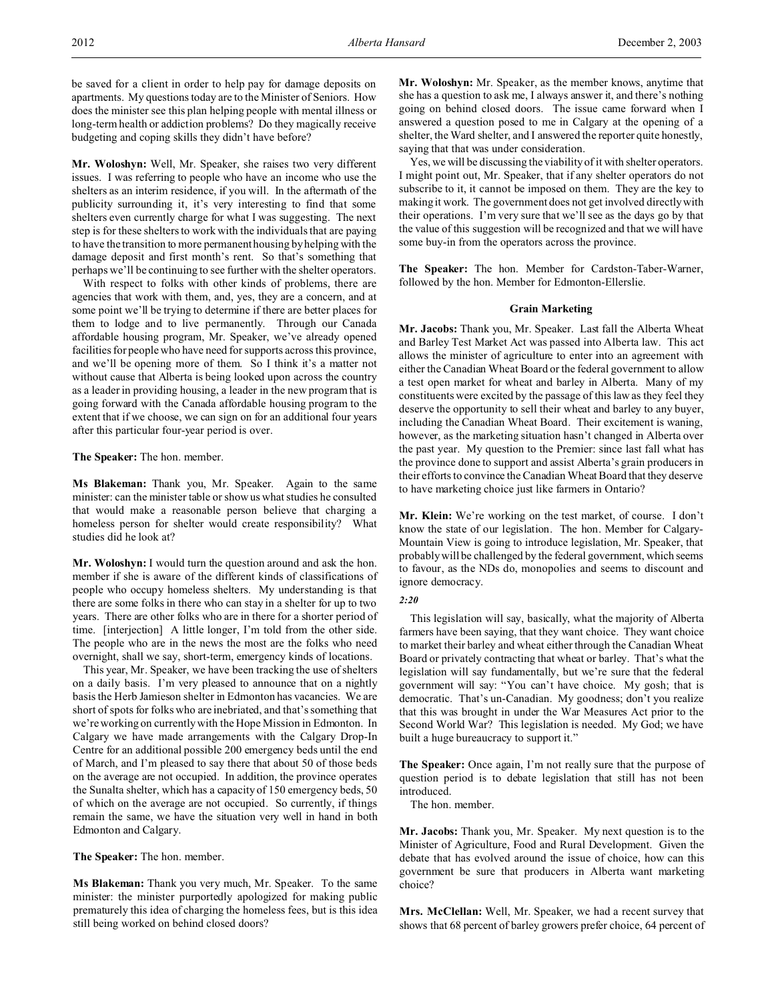be saved for a client in order to help pay for damage deposits on apartments. My questions today are to the Minister of Seniors. How does the minister see this plan helping people with mental illness or long-term health or addiction problems? Do they magically receive budgeting and coping skills they didn't have before?

**Mr. Woloshyn:** Well, Mr. Speaker, she raises two very different issues. I was referring to people who have an income who use the shelters as an interim residence, if you will. In the aftermath of the publicity surrounding it, it's very interesting to find that some shelters even currently charge for what I was suggesting. The next step is for these shelters to work with the individuals that are paying to have the transition to more permanent housing by helping with the damage deposit and first month's rent. So that's something that perhaps we'll be continuing to see further with the shelter operators.

With respect to folks with other kinds of problems, there are agencies that work with them, and, yes, they are a concern, and at some point we'll be trying to determine if there are better places for them to lodge and to live permanently. Through our Canada affordable housing program, Mr. Speaker, we've already opened facilities for people who have need for supports across this province, and we'll be opening more of them. So I think it's a matter not without cause that Alberta is being looked upon across the country as a leader in providing housing, a leader in the new program that is going forward with the Canada affordable housing program to the extent that if we choose, we can sign on for an additional four years after this particular four-year period is over.

**The Speaker:** The hon. member.

**Ms Blakeman:** Thank you, Mr. Speaker. Again to the same minister: can the minister table or show us what studies he consulted that would make a reasonable person believe that charging a homeless person for shelter would create responsibility? What studies did he look at?

**Mr. Woloshyn:** I would turn the question around and ask the hon. member if she is aware of the different kinds of classifications of people who occupy homeless shelters. My understanding is that there are some folks in there who can stay in a shelter for up to two years. There are other folks who are in there for a shorter period of time. [interjection] A little longer, I'm told from the other side. The people who are in the news the most are the folks who need overnight, shall we say, short-term, emergency kinds of locations.

This year, Mr. Speaker, we have been tracking the use of shelters on a daily basis. I'm very pleased to announce that on a nightly basis the Herb Jamieson shelter in Edmonton has vacancies. We are short of spots for folks who are inebriated, and that's something that we're working on currently with the Hope Mission in Edmonton. In Calgary we have made arrangements with the Calgary Drop-In Centre for an additional possible 200 emergency beds until the end of March, and I'm pleased to say there that about 50 of those beds on the average are not occupied. In addition, the province operates the Sunalta shelter, which has a capacity of 150 emergency beds, 50 of which on the average are not occupied. So currently, if things remain the same, we have the situation very well in hand in both Edmonton and Calgary.

**The Speaker:** The hon. member.

**Ms Blakeman:** Thank you very much, Mr. Speaker. To the same minister: the minister purportedly apologized for making public prematurely this idea of charging the homeless fees, but is this idea still being worked on behind closed doors?

**Mr. Woloshyn:** Mr. Speaker, as the member knows, anytime that she has a question to ask me, I always answer it, and there's nothing going on behind closed doors. The issue came forward when I answered a question posed to me in Calgary at the opening of a shelter, the Ward shelter, and I answered the reporter quite honestly, saying that that was under consideration.

Yes, we will be discussing the viability of it with shelter operators. I might point out, Mr. Speaker, that if any shelter operators do not subscribe to it, it cannot be imposed on them. They are the key to making it work. The government does not get involved directly with their operations. I'm very sure that we'll see as the days go by that the value of this suggestion will be recognized and that we will have some buy-in from the operators across the province.

**The Speaker:** The hon. Member for Cardston-Taber-Warner, followed by the hon. Member for Edmonton-Ellerslie.

#### **Grain Marketing**

**Mr. Jacobs:** Thank you, Mr. Speaker. Last fall the Alberta Wheat and Barley Test Market Act was passed into Alberta law. This act allows the minister of agriculture to enter into an agreement with either the Canadian Wheat Board or the federal government to allow a test open market for wheat and barley in Alberta. Many of my constituents were excited by the passage of this law as they feel they deserve the opportunity to sell their wheat and barley to any buyer, including the Canadian Wheat Board. Their excitement is waning, however, as the marketing situation hasn't changed in Alberta over the past year. My question to the Premier: since last fall what has the province done to support and assist Alberta's grain producers in their efforts to convince the Canadian Wheat Board that they deserve to have marketing choice just like farmers in Ontario?

**Mr. Klein:** We're working on the test market, of course. I don't know the state of our legislation. The hon. Member for Calgary-Mountain View is going to introduce legislation, Mr. Speaker, that probably will be challenged by the federal government, which seems to favour, as the NDs do, monopolies and seems to discount and ignore democracy.

## *2:20*

This legislation will say, basically, what the majority of Alberta farmers have been saying, that they want choice. They want choice to market their barley and wheat either through the Canadian Wheat Board or privately contracting that wheat or barley. That's what the legislation will say fundamentally, but we're sure that the federal government will say: "You can't have choice. My gosh; that is democratic. That's un-Canadian. My goodness; don't you realize that this was brought in under the War Measures Act prior to the Second World War? This legislation is needed. My God; we have built a huge bureaucracy to support it."

**The Speaker:** Once again, I'm not really sure that the purpose of question period is to debate legislation that still has not been introduced.

The hon. member.

**Mr. Jacobs:** Thank you, Mr. Speaker. My next question is to the Minister of Agriculture, Food and Rural Development. Given the debate that has evolved around the issue of choice, how can this government be sure that producers in Alberta want marketing choice?

**Mrs. McClellan:** Well, Mr. Speaker, we had a recent survey that shows that 68 percent of barley growers prefer choice, 64 percent of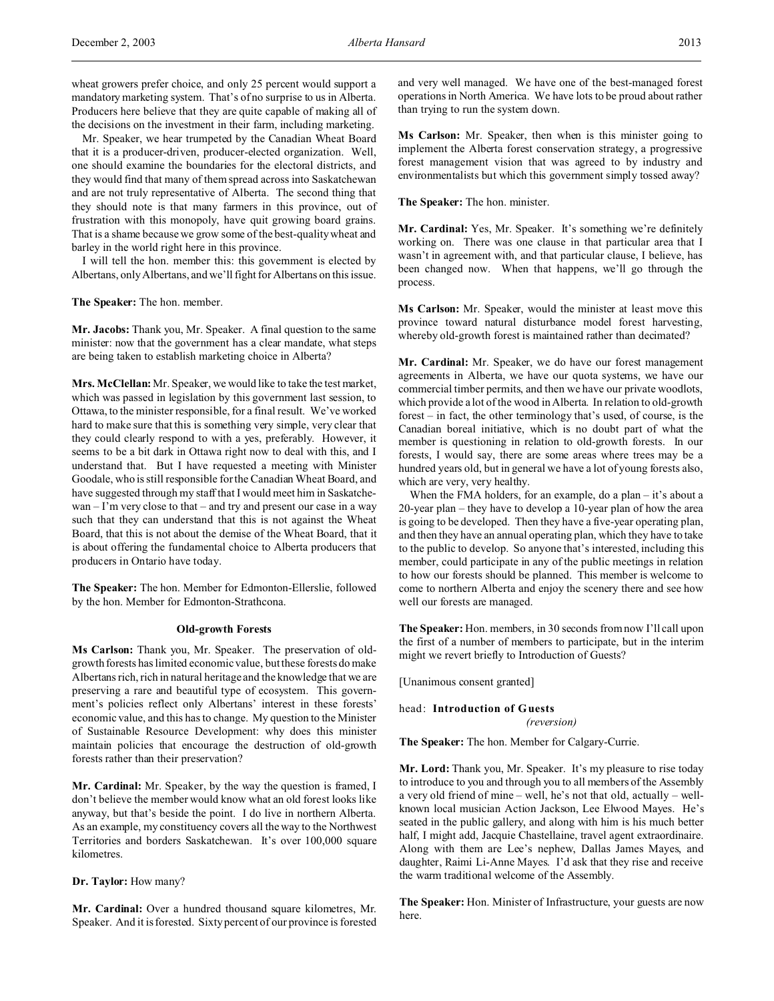Mr. Speaker, we hear trumpeted by the Canadian Wheat Board that it is a producer-driven, producer-elected organization. Well, one should examine the boundaries for the electoral districts, and they would find that many of them spread across into Saskatchewan and are not truly representative of Alberta. The second thing that they should note is that many farmers in this province, out of frustration with this monopoly, have quit growing board grains. That is a shame because we grow some of the best-quality wheat and barley in the world right here in this province.

I will tell the hon. member this: this government is elected by Albertans, only Albertans, and we'll fight for Albertans on this issue.

**The Speaker:** The hon. member.

**Mr. Jacobs:** Thank you, Mr. Speaker. A final question to the same minister: now that the government has a clear mandate, what steps are being taken to establish marketing choice in Alberta?

**Mrs. McClellan:** Mr. Speaker, we would like to take the test market, which was passed in legislation by this government last session, to Ottawa, to the minister responsible, for a final result. We've worked hard to make sure that this is something very simple, very clear that they could clearly respond to with a yes, preferably. However, it seems to be a bit dark in Ottawa right now to deal with this, and I understand that. But I have requested a meeting with Minister Goodale, who is still responsible for the Canadian Wheat Board, and have suggested through my staff that I would meet him in Saskatchewan – I'm very close to that – and try and present our case in a way such that they can understand that this is not against the Wheat Board, that this is not about the demise of the Wheat Board, that it is about offering the fundamental choice to Alberta producers that producers in Ontario have today.

**The Speaker:** The hon. Member for Edmonton-Ellerslie, followed by the hon. Member for Edmonton-Strathcona.

#### **Old-growth Forests**

**Ms Carlson:** Thank you, Mr. Speaker. The preservation of oldgrowth forests has limited economic value, but these forests do make Albertans rich, rich in natural heritage and the knowledge that we are preserving a rare and beautiful type of ecosystem. This government's policies reflect only Albertans' interest in these forests' economic value, and this has to change. My question to the Minister of Sustainable Resource Development: why does this minister maintain policies that encourage the destruction of old-growth forests rather than their preservation?

**Mr. Cardinal:** Mr. Speaker, by the way the question is framed, I don't believe the member would know what an old forest looks like anyway, but that's beside the point. I do live in northern Alberta. As an example, my constituency covers all the way to the Northwest Territories and borders Saskatchewan. It's over 100,000 square kilometres.

### **Dr. Taylor:** How many?

**Mr. Cardinal:** Over a hundred thousand square kilometres, Mr. Speaker. And it is forested. Sixty percent of our province is forested and very well managed. We have one of the best-managed forest operations in North America. We have lots to be proud about rather than trying to run the system down.

**Ms Carlson:** Mr. Speaker, then when is this minister going to implement the Alberta forest conservation strategy, a progressive forest management vision that was agreed to by industry and environmentalists but which this government simply tossed away?

**The Speaker:** The hon. minister.

**Mr. Cardinal:** Yes, Mr. Speaker. It's something we're definitely working on. There was one clause in that particular area that I wasn't in agreement with, and that particular clause, I believe, has been changed now. When that happens, we'll go through the process.

**Ms Carlson:** Mr. Speaker, would the minister at least move this province toward natural disturbance model forest harvesting, whereby old-growth forest is maintained rather than decimated?

**Mr. Cardinal:** Mr. Speaker, we do have our forest management agreements in Alberta, we have our quota systems, we have our commercial timber permits, and then we have our private woodlots, which provide a lot of the wood in Alberta. In relation to old-growth forest – in fact, the other terminology that's used, of course, is the Canadian boreal initiative, which is no doubt part of what the member is questioning in relation to old-growth forests. In our forests, I would say, there are some areas where trees may be a hundred years old, but in general we have a lot of young forests also, which are very, very healthy.

When the FMA holders, for an example, do a plan – it's about a 20-year plan – they have to develop a 10-year plan of how the area is going to be developed. Then they have a five-year operating plan, and then they have an annual operating plan, which they have to take to the public to develop. So anyone that's interested, including this member, could participate in any of the public meetings in relation to how our forests should be planned. This member is welcome to come to northern Alberta and enjoy the scenery there and see how well our forests are managed.

**The Speaker:** Hon. members, in 30 seconds from now I'll call upon the first of a number of members to participate, but in the interim might we revert briefly to Introduction of Guests?

[Unanimous consent granted]

head: **Introduction of Guests**

*(reversion)*

**The Speaker:** The hon. Member for Calgary-Currie.

**Mr. Lord:** Thank you, Mr. Speaker. It's my pleasure to rise today to introduce to you and through you to all members of the Assembly a very old friend of mine – well, he's not that old, actually – wellknown local musician Action Jackson, Lee Elwood Mayes. He's seated in the public gallery, and along with him is his much better half, I might add, Jacquie Chastellaine, travel agent extraordinaire. Along with them are Lee's nephew, Dallas James Mayes, and daughter, Raimi Li-Anne Mayes. I'd ask that they rise and receive the warm traditional welcome of the Assembly.

**The Speaker:** Hon. Minister of Infrastructure, your guests are now here.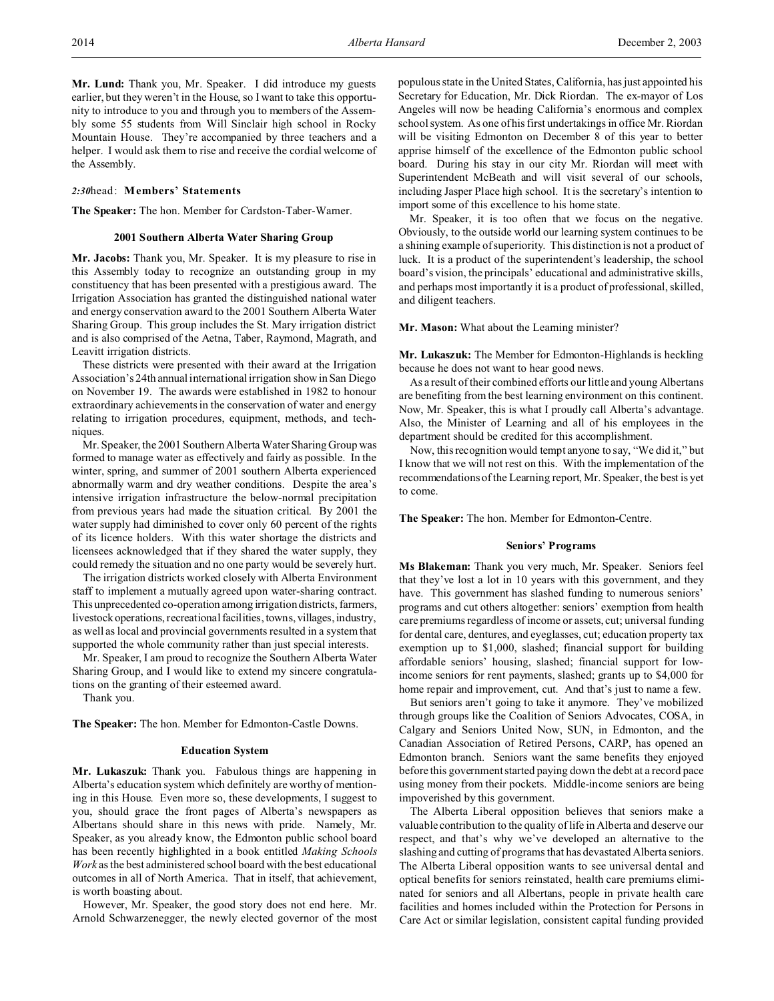**Mr. Lund:** Thank you, Mr. Speaker. I did introduce my guests earlier, but they weren't in the House, so I want to take this opportunity to introduce to you and through you to members of the Assembly some 55 students from Will Sinclair high school in Rocky Mountain House. They're accompanied by three teachers and a helper. I would ask them to rise and receive the cordial welcome of the Assembly.

### *2:30*head: **Members' Statements**

**The Speaker:** The hon. Member for Cardston-Taber-Warner.

### **2001 Southern Alberta Water Sharing Group**

**Mr. Jacobs:** Thank you, Mr. Speaker. It is my pleasure to rise in this Assembly today to recognize an outstanding group in my constituency that has been presented with a prestigious award. The Irrigation Association has granted the distinguished national water and energy conservation award to the 2001 Southern Alberta Water Sharing Group. This group includes the St. Mary irrigation district and is also comprised of the Aetna, Taber, Raymond, Magrath, and Leavitt irrigation districts.

These districts were presented with their award at the Irrigation Association's 24th annual international irrigation show in San Diego on November 19. The awards were established in 1982 to honour extraordinary achievements in the conservation of water and energy relating to irrigation procedures, equipment, methods, and techniques.

Mr. Speaker, the 2001 Southern Alberta Water Sharing Group was formed to manage water as effectively and fairly as possible. In the winter, spring, and summer of 2001 southern Alberta experienced abnormally warm and dry weather conditions. Despite the area's intensive irrigation infrastructure the below-normal precipitation from previous years had made the situation critical. By 2001 the water supply had diminished to cover only 60 percent of the rights of its licence holders. With this water shortage the districts and licensees acknowledged that if they shared the water supply, they could remedy the situation and no one party would be severely hurt.

The irrigation districts worked closely with Alberta Environment staff to implement a mutually agreed upon water-sharing contract. This unprecedented co-operation among irrigation districts, farmers, livestock operations, recreational facilities, towns, villages, industry, as well as local and provincial governments resulted in a system that supported the whole community rather than just special interests.

Mr. Speaker, I am proud to recognize the Southern Alberta Water Sharing Group, and I would like to extend my sincere congratulations on the granting of their esteemed award.

Thank you.

**The Speaker:** The hon. Member for Edmonton-Castle Downs.

### **Education System**

**Mr. Lukaszuk:** Thank you. Fabulous things are happening in Alberta's education system which definitely are worthy of mentioning in this House. Even more so, these developments, I suggest to you, should grace the front pages of Alberta's newspapers as Albertans should share in this news with pride. Namely, Mr. Speaker, as you already know, the Edmonton public school board has been recently highlighted in a book entitled *Making Schools Work* as the best administered school board with the best educational outcomes in all of North America. That in itself, that achievement, is worth boasting about.

However, Mr. Speaker, the good story does not end here. Mr. Arnold Schwarzenegger, the newly elected governor of the most populous state in the United States, California, has just appointed his Secretary for Education, Mr. Dick Riordan. The ex-mayor of Los Angeles will now be heading California's enormous and complex school system. As one of his first undertakings in office Mr. Riordan will be visiting Edmonton on December 8 of this year to better apprise himself of the excellence of the Edmonton public school board. During his stay in our city Mr. Riordan will meet with Superintendent McBeath and will visit several of our schools, including Jasper Place high school. It is the secretary's intention to import some of this excellence to his home state.

Mr. Speaker, it is too often that we focus on the negative. Obviously, to the outside world our learning system continues to be a shining example of superiority. This distinction is not a product of luck. It is a product of the superintendent's leadership, the school board's vision, the principals' educational and administrative skills, and perhaps most importantly it is a product of professional, skilled, and diligent teachers.

**Mr. Mason:** What about the Learning minister?

**Mr. Lukaszuk:** The Member for Edmonton-Highlands is heckling because he does not want to hear good news.

As a result of their combined efforts our little and young Albertans are benefiting from the best learning environment on this continent. Now, Mr. Speaker, this is what I proudly call Alberta's advantage. Also, the Minister of Learning and all of his employees in the department should be credited for this accomplishment.

Now, this recognition would tempt anyone to say, "We did it," but I know that we will not rest on this. With the implementation of the recommendations of the Learning report, Mr. Speaker, the best is yet to come.

**The Speaker:** The hon. Member for Edmonton-Centre.

#### **Seniors' Programs**

**Ms Blakeman:** Thank you very much, Mr. Speaker. Seniors feel that they've lost a lot in 10 years with this government, and they have. This government has slashed funding to numerous seniors' programs and cut others altogether: seniors' exemption from health care premiums regardless of income or assets, cut; universal funding for dental care, dentures, and eyeglasses, cut; education property tax exemption up to \$1,000, slashed; financial support for building affordable seniors' housing, slashed; financial support for lowincome seniors for rent payments, slashed; grants up to \$4,000 for home repair and improvement, cut. And that's just to name a few.

But seniors aren't going to take it anymore. They've mobilized through groups like the Coalition of Seniors Advocates, COSA, in Calgary and Seniors United Now, SUN, in Edmonton, and the Canadian Association of Retired Persons, CARP, has opened an Edmonton branch. Seniors want the same benefits they enjoyed before this government started paying down the debt at a record pace using money from their pockets. Middle-income seniors are being impoverished by this government.

The Alberta Liberal opposition believes that seniors make a valuable contribution to the quality of life in Alberta and deserve our respect, and that's why we've developed an alternative to the slashing and cutting of programs that has devastated Alberta seniors. The Alberta Liberal opposition wants to see universal dental and optical benefits for seniors reinstated, health care premiums eliminated for seniors and all Albertans, people in private health care facilities and homes included within the Protection for Persons in Care Act or similar legislation, consistent capital funding provided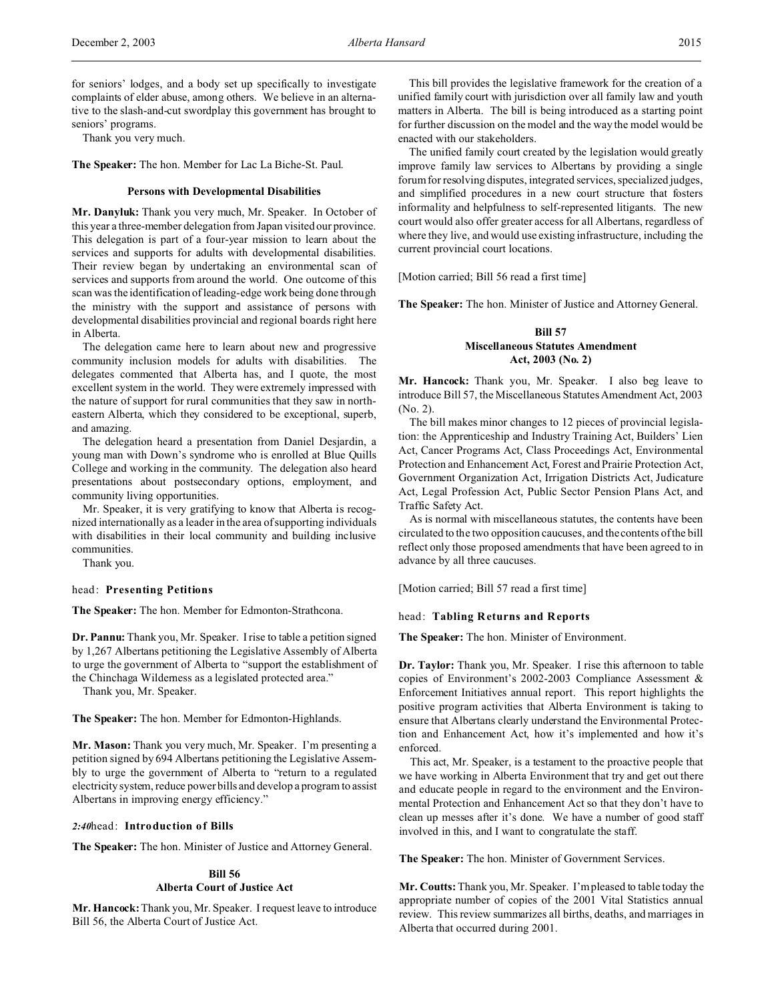for seniors' lodges, and a body set up specifically to investigate complaints of elder abuse, among others. We believe in an alternative to the slash-and-cut swordplay this government has brought to seniors' programs.

Thank you very much.

**The Speaker:** The hon. Member for Lac La Biche-St. Paul.

#### **Persons with Developmental Disabilities**

**Mr. Danyluk:** Thank you very much, Mr. Speaker. In October of this year a three-member delegation from Japan visited our province. This delegation is part of a four-year mission to learn about the services and supports for adults with developmental disabilities. Their review began by undertaking an environmental scan of services and supports from around the world. One outcome of this scan was the identification of leading-edge work being done through the ministry with the support and assistance of persons with developmental disabilities provincial and regional boards right here in Alberta.

The delegation came here to learn about new and progressive community inclusion models for adults with disabilities. The delegates commented that Alberta has, and I quote, the most excellent system in the world. They were extremely impressed with the nature of support for rural communities that they saw in northeastern Alberta, which they considered to be exceptional, superb, and amazing.

The delegation heard a presentation from Daniel Desjardin, a young man with Down's syndrome who is enrolled at Blue Quills College and working in the community. The delegation also heard presentations about postsecondary options, employment, and community living opportunities.

Mr. Speaker, it is very gratifying to know that Alberta is recognized internationally as a leader in the area of supporting individuals with disabilities in their local community and building inclusive communities.

Thank you.

### head: **Presenting Petitions**

**The Speaker:** The hon. Member for Edmonton-Strathcona.

**Dr. Pannu:** Thank you, Mr. Speaker. I rise to table a petition signed by 1,267 Albertans petitioning the Legislative Assembly of Alberta to urge the government of Alberta to "support the establishment of the Chinchaga Wilderness as a legislated protected area."

Thank you, Mr. Speaker.

**The Speaker:** The hon. Member for Edmonton-Highlands.

**Mr. Mason:** Thank you very much, Mr. Speaker. I'm presenting a petition signed by 694 Albertans petitioning the Legislative Assembly to urge the government of Alberta to "return to a regulated electricity system, reduce power bills and develop a program to assist Albertans in improving energy efficiency."

### *2:40*head: **Introduction of Bills**

**The Speaker:** The hon. Minister of Justice and Attorney General.

## **Bill 56 Alberta Court of Justice Act**

**Mr. Hancock:** Thank you, Mr. Speaker. I request leave to introduce Bill 56, the Alberta Court of Justice Act.

This bill provides the legislative framework for the creation of a unified family court with jurisdiction over all family law and youth matters in Alberta. The bill is being introduced as a starting point for further discussion on the model and the way the model would be enacted with our stakeholders.

The unified family court created by the legislation would greatly improve family law services to Albertans by providing a single forum for resolving disputes, integrated services, specialized judges, and simplified procedures in a new court structure that fosters informality and helpfulness to self-represented litigants. The new court would also offer greater access for all Albertans, regardless of where they live, and would use existing infrastructure, including the current provincial court locations.

[Motion carried; Bill 56 read a first time]

**The Speaker:** The hon. Minister of Justice and Attorney General.

# **Bill 57 Miscellaneous Statutes Amendment Act, 2003 (No. 2)**

**Mr. Hancock:** Thank you, Mr. Speaker. I also beg leave to introduce Bill 57, the Miscellaneous Statutes Amendment Act, 2003 (No. 2).

The bill makes minor changes to 12 pieces of provincial legislation: the Apprenticeship and Industry Training Act, Builders' Lien Act, Cancer Programs Act, Class Proceedings Act, Environmental Protection and Enhancement Act, Forest and Prairie Protection Act, Government Organization Act, Irrigation Districts Act, Judicature Act, Legal Profession Act, Public Sector Pension Plans Act, and Traffic Safety Act.

As is normal with miscellaneous statutes, the contents have been circulated to the two opposition caucuses, and the contents of the bill reflect only those proposed amendments that have been agreed to in advance by all three caucuses.

[Motion carried; Bill 57 read a first time]

### head: **Tabling Returns and Reports**

**The Speaker:** The hon. Minister of Environment.

**Dr. Taylor:** Thank you, Mr. Speaker. I rise this afternoon to table copies of Environment's 2002-2003 Compliance Assessment & Enforcement Initiatives annual report. This report highlights the positive program activities that Alberta Environment is taking to ensure that Albertans clearly understand the Environmental Protection and Enhancement Act, how it's implemented and how it's enforced.

This act, Mr. Speaker, is a testament to the proactive people that we have working in Alberta Environment that try and get out there and educate people in regard to the environment and the Environmental Protection and Enhancement Act so that they don't have to clean up messes after it's done. We have a number of good staff involved in this, and I want to congratulate the staff.

**The Speaker:** The hon. Minister of Government Services.

**Mr. Coutts:**Thank you, Mr. Speaker. I'm pleased to table today the appropriate number of copies of the 2001 Vital Statistics annual review. This review summarizes all births, deaths, and marriages in Alberta that occurred during 2001.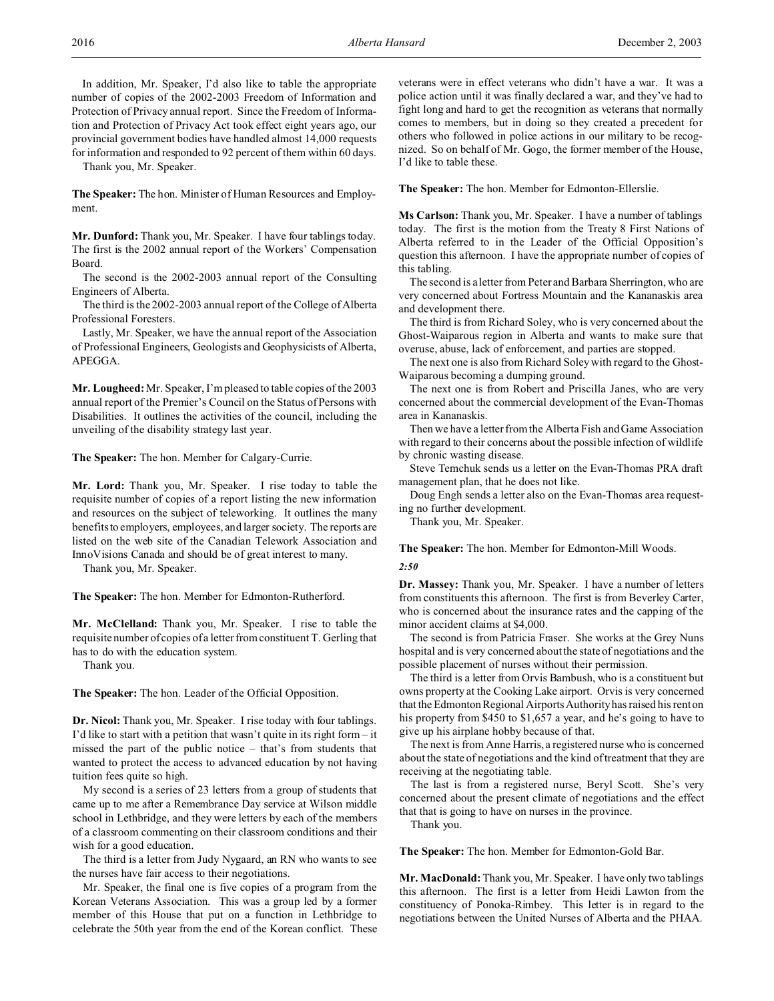In addition, Mr. Speaker, I'd also like to table the appropriate number of copies of the 2002-2003 Freedom of Information and Protection of Privacy annual report. Since the Freedom of Information and Protection of Privacy Act took effect eight years ago, our provincial government bodies have handled almost 14,000 requests for information and responded to 92 percent of them within 60 days.

Thank you, Mr. Speaker.

**The Speaker:** The hon. Minister of Human Resources and Employment.

**Mr. Dunford:** Thank you, Mr. Speaker. I have four tablings today. The first is the 2002 annual report of the Workers' Compensation Board.

The second is the 2002-2003 annual report of the Consulting Engineers of Alberta.

The third is the 2002-2003 annual report of the College of Alberta Professional Foresters.

Lastly, Mr. Speaker, we have the annual report of the Association of Professional Engineers, Geologists and Geophysicists of Alberta, APEGGA.

**Mr. Lougheed:** Mr. Speaker, I'm pleased to table copies of the 2003 annual report of the Premier's Council on the Status of Persons with Disabilities. It outlines the activities of the council, including the unveiling of the disability strategy last year.

**The Speaker:** The hon. Member for Calgary-Currie.

**Mr. Lord:** Thank you, Mr. Speaker. I rise today to table the requisite number of copies of a report listing the new information and resources on the subject of teleworking. It outlines the many benefits to employers, employees, and larger society. The reports are listed on the web site of the Canadian Telework Association and InnoVisions Canada and should be of great interest to many.

Thank you, Mr. Speaker.

**The Speaker:** The hon. Member for Edmonton-Rutherford.

**Mr. McClelland:** Thank you, Mr. Speaker. I rise to table the requisite number of copies of a letter from constituent T. Gerling that has to do with the education system.

Thank you.

**The Speaker:** The hon. Leader of the Official Opposition.

**Dr. Nicol:** Thank you, Mr. Speaker. I rise today with four tablings. I'd like to start with a petition that wasn't quite in its right form – it missed the part of the public notice – that's from students that wanted to protect the access to advanced education by not having tuition fees quite so high.

My second is a series of 23 letters from a group of students that came up to me after a Remembrance Day service at Wilson middle school in Lethbridge, and they were letters by each of the members of a classroom commenting on their classroom conditions and their wish for a good education.

The third is a letter from Judy Nygaard, an RN who wants to see the nurses have fair access to their negotiations.

Mr. Speaker, the final one is five copies of a program from the Korean Veterans Association. This was a group led by a former member of this House that put on a function in Lethbridge to celebrate the 50th year from the end of the Korean conflict. These veterans were in effect veterans who didn't have a war. It was a police action until it was finally declared a war, and they've had to fight long and hard to get the recognition as veterans that normally comes to members, but in doing so they created a precedent for others who followed in police actions in our military to be recognized. So on behalf of Mr. Gogo, the former member of the House, I'd like to table these.

**The Speaker:** The hon. Member for Edmonton-Ellerslie.

**Ms Carlson:** Thank you, Mr. Speaker. I have a number of tablings today. The first is the motion from the Treaty 8 First Nations of Alberta referred to in the Leader of the Official Opposition's question this afternoon. I have the appropriate number of copies of this tabling.

The second is a letter from Peter and Barbara Sherrington, who are very concerned about Fortress Mountain and the Kananaskis area and development there.

The third is from Richard Soley, who is very concerned about the Ghost-Waiparous region in Alberta and wants to make sure that overuse, abuse, lack of enforcement, and parties are stopped.

The next one is also from Richard Soley with regard to the Ghost-Waiparous becoming a dumping ground.

The next one is from Robert and Priscilla Janes, who are very concerned about the commercial development of the Evan-Thomas area in Kananaskis.

Then we have a letter from the Alberta Fish and Game Association with regard to their concerns about the possible infection of wildlife by chronic wasting disease.

Steve Temchuk sends us a letter on the Evan-Thomas PRA draft management plan, that he does not like.

Doug Engh sends a letter also on the Evan-Thomas area requesting no further development.

Thank you, Mr. Speaker.

# **The Speaker:** The hon. Member for Edmonton-Mill Woods. *2:50*

**Dr. Massey:** Thank you, Mr. Speaker. I have a number of letters from constituents this afternoon. The first is from Beverley Carter, who is concerned about the insurance rates and the capping of the minor accident claims at \$4,000.

The second is from Patricia Fraser. She works at the Grey Nuns hospital and is very concerned about the state of negotiations and the possible placement of nurses without their permission.

The third is a letter from Orvis Bambush, who is a constituent but owns property at the Cooking Lake airport. Orvis is very concerned that the Edmonton Regional Airports Authority has raised his rent on his property from \$450 to \$1,657 a year, and he's going to have to give up his airplane hobby because of that.

The next is from Anne Harris, a registered nurse who is concerned about the state of negotiations and the kind of treatment that they are receiving at the negotiating table.

The last is from a registered nurse, Beryl Scott. She's very concerned about the present climate of negotiations and the effect that that is going to have on nurses in the province.

Thank you.

**The Speaker:** The hon. Member for Edmonton-Gold Bar.

**Mr. MacDonald:** Thank you, Mr. Speaker. I have only two tablings this afternoon. The first is a letter from Heidi Lawton from the constituency of Ponoka-Rimbey. This letter is in regard to the negotiations between the United Nurses of Alberta and the PHAA.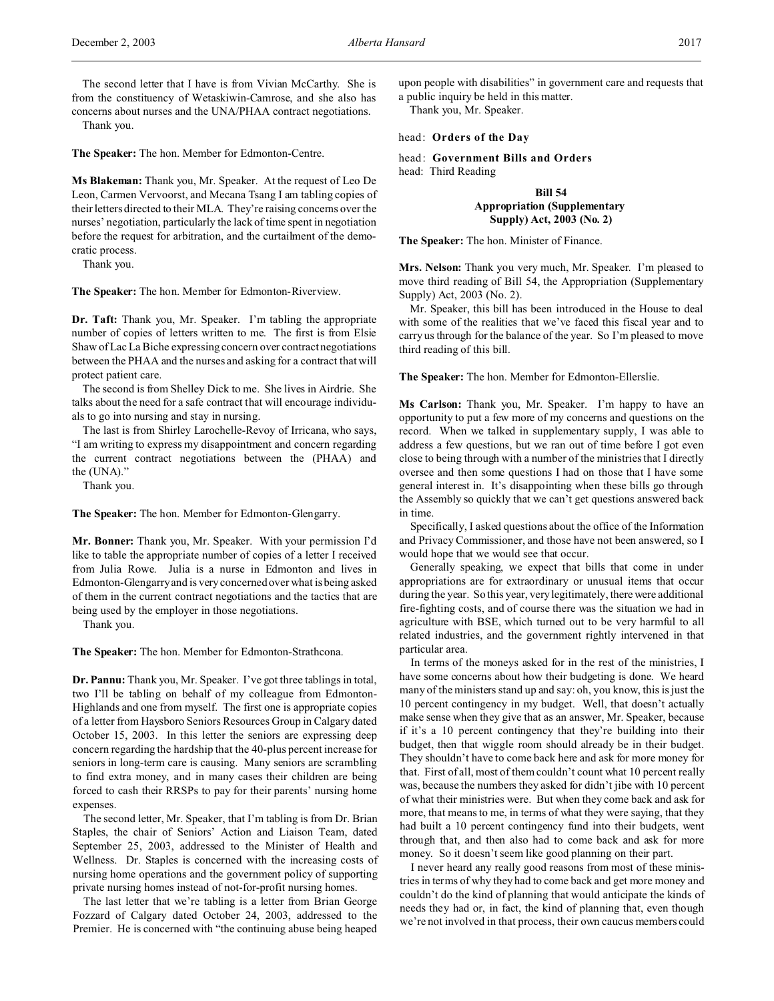The second letter that I have is from Vivian McCarthy. She is from the constituency of Wetaskiwin-Camrose, and she also has concerns about nurses and the UNA/PHAA contract negotiations.

Thank you.

**The Speaker:** The hon. Member for Edmonton-Centre.

**Ms Blakeman:** Thank you, Mr. Speaker. At the request of Leo De Leon, Carmen Vervoorst, and Mecana Tsang I am tabling copies of their letters directed to their MLA. They're raising concerns over the nurses' negotiation, particularly the lack of time spent in negotiation before the request for arbitration, and the curtailment of the democratic process.

Thank you.

**The Speaker:** The hon. Member for Edmonton-Riverview.

**Dr. Taft:** Thank you, Mr. Speaker. I'm tabling the appropriate number of copies of letters written to me. The first is from Elsie Shaw of Lac La Biche expressing concern over contract negotiations between the PHAA and the nurses and asking for a contract that will protect patient care.

The second is from Shelley Dick to me. She lives in Airdrie. She talks about the need for a safe contract that will encourage individuals to go into nursing and stay in nursing.

The last is from Shirley Larochelle-Revoy of Irricana, who says, "I am writing to express my disappointment and concern regarding the current contract negotiations between the (PHAA) and the (UNA)."

Thank you.

**The Speaker:** The hon. Member for Edmonton-Glengarry.

**Mr. Bonner:** Thank you, Mr. Speaker. With your permission I'd like to table the appropriate number of copies of a letter I received from Julia Rowe. Julia is a nurse in Edmonton and lives in Edmonton-Glengarry and is very concerned over what is being asked of them in the current contract negotiations and the tactics that are being used by the employer in those negotiations.

Thank you.

**The Speaker:** The hon. Member for Edmonton-Strathcona.

**Dr. Pannu:** Thank you, Mr. Speaker. I've got three tablings in total, two I'll be tabling on behalf of my colleague from Edmonton-Highlands and one from myself. The first one is appropriate copies of a letter from Haysboro Seniors Resources Group in Calgary dated October 15, 2003. In this letter the seniors are expressing deep concern regarding the hardship that the 40-plus percent increase for seniors in long-term care is causing. Many seniors are scrambling to find extra money, and in many cases their children are being forced to cash their RRSPs to pay for their parents' nursing home expenses.

The second letter, Mr. Speaker, that I'm tabling is from Dr. Brian Staples, the chair of Seniors' Action and Liaison Team, dated September 25, 2003, addressed to the Minister of Health and Wellness. Dr. Staples is concerned with the increasing costs of nursing home operations and the government policy of supporting private nursing homes instead of not-for-profit nursing homes.

The last letter that we're tabling is a letter from Brian George Fozzard of Calgary dated October 24, 2003, addressed to the Premier. He is concerned with "the continuing abuse being heaped

upon people with disabilities" in government care and requests that a public inquiry be held in this matter.

Thank you, Mr. Speaker.

## head: **Orders of the Day**

head: **Government Bills and Orders** head: Third Reading

# **Bill 54 Appropriation (Supplementary Supply) Act, 2003 (No. 2)**

**The Speaker:** The hon. Minister of Finance.

**Mrs. Nelson:** Thank you very much, Mr. Speaker. I'm pleased to move third reading of Bill 54, the Appropriation (Supplementary Supply) Act, 2003 (No. 2).

Mr. Speaker, this bill has been introduced in the House to deal with some of the realities that we've faced this fiscal year and to carry us through for the balance of the year. So I'm pleased to move third reading of this bill.

**The Speaker:** The hon. Member for Edmonton-Ellerslie.

**Ms Carlson:** Thank you, Mr. Speaker. I'm happy to have an opportunity to put a few more of my concerns and questions on the record. When we talked in supplementary supply, I was able to address a few questions, but we ran out of time before I got even close to being through with a number of the ministries that I directly oversee and then some questions I had on those that I have some general interest in. It's disappointing when these bills go through the Assembly so quickly that we can't get questions answered back in time.

Specifically, I asked questions about the office of the Information and Privacy Commissioner, and those have not been answered, so I would hope that we would see that occur.

Generally speaking, we expect that bills that come in under appropriations are for extraordinary or unusual items that occur during the year. So this year, very legitimately, there were additional fire-fighting costs, and of course there was the situation we had in agriculture with BSE, which turned out to be very harmful to all related industries, and the government rightly intervened in that particular area.

In terms of the moneys asked for in the rest of the ministries, I have some concerns about how their budgeting is done. We heard many of the ministers stand up and say: oh, you know, this is just the 10 percent contingency in my budget. Well, that doesn't actually make sense when they give that as an answer, Mr. Speaker, because if it's a 10 percent contingency that they're building into their budget, then that wiggle room should already be in their budget. They shouldn't have to come back here and ask for more money for that. First of all, most of them couldn't count what 10 percent really was, because the numbers they asked for didn't jibe with 10 percent of what their ministries were. But when they come back and ask for more, that means to me, in terms of what they were saying, that they had built a 10 percent contingency fund into their budgets, went through that, and then also had to come back and ask for more money. So it doesn't seem like good planning on their part.

I never heard any really good reasons from most of these ministries in terms of why they had to come back and get more money and couldn't do the kind of planning that would anticipate the kinds of needs they had or, in fact, the kind of planning that, even though we're not involved in that process, their own caucus members could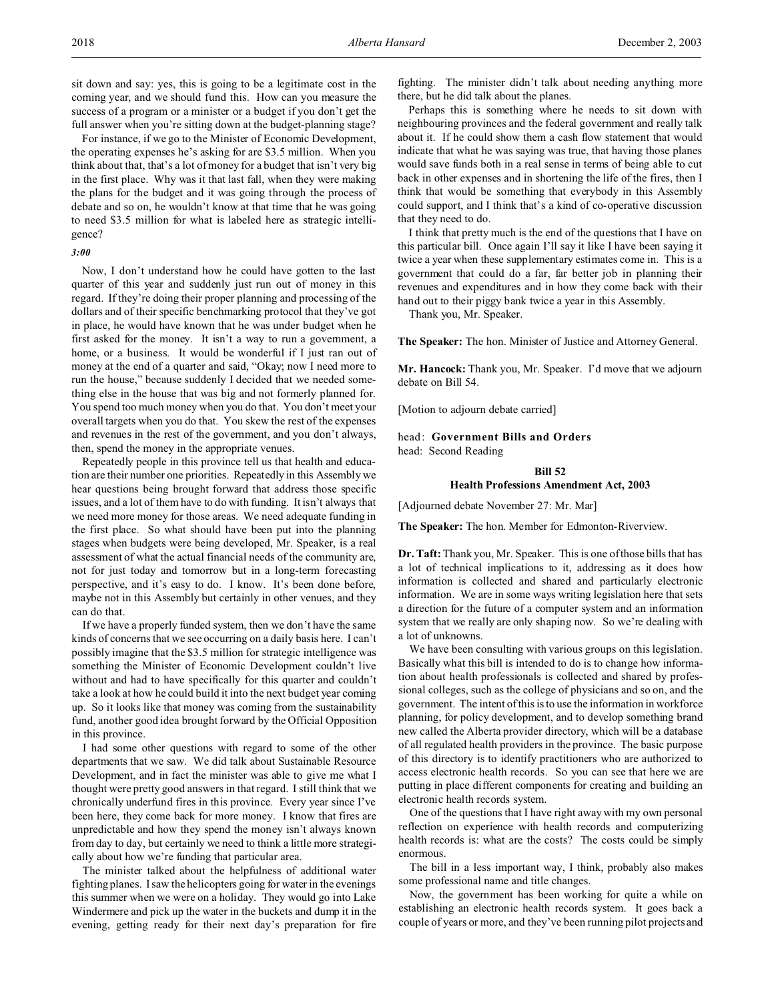sit down and say: yes, this is going to be a legitimate cost in the coming year, and we should fund this. How can you measure the success of a program or a minister or a budget if you don't get the full answer when you're sitting down at the budget-planning stage?

For instance, if we go to the Minister of Economic Development, the operating expenses he's asking for are \$3.5 million. When you think about that, that's a lot of money for a budget that isn't very big in the first place. Why was it that last fall, when they were making the plans for the budget and it was going through the process of debate and so on, he wouldn't know at that time that he was going to need \$3.5 million for what is labeled here as strategic intelligence?

#### *3:00*

Now, I don't understand how he could have gotten to the last quarter of this year and suddenly just run out of money in this regard. If they're doing their proper planning and processing of the dollars and of their specific benchmarking protocol that they've got in place, he would have known that he was under budget when he first asked for the money. It isn't a way to run a government, a home, or a business. It would be wonderful if I just ran out of money at the end of a quarter and said, "Okay; now I need more to run the house," because suddenly I decided that we needed something else in the house that was big and not formerly planned for. You spend too much money when you do that. You don't meet your overall targets when you do that. You skew the rest of the expenses and revenues in the rest of the government, and you don't always, then, spend the money in the appropriate venues.

Repeatedly people in this province tell us that health and education are their number one priorities. Repeatedly in this Assembly we hear questions being brought forward that address those specific issues, and a lot of them have to do with funding. It isn't always that we need more money for those areas. We need adequate funding in the first place. So what should have been put into the planning stages when budgets were being developed, Mr. Speaker, is a real assessment of what the actual financial needs of the community are, not for just today and tomorrow but in a long-term forecasting perspective, and it's easy to do. I know. It's been done before, maybe not in this Assembly but certainly in other venues, and they can do that.

If we have a properly funded system, then we don't have the same kinds of concerns that we see occurring on a daily basis here. I can't possibly imagine that the \$3.5 million for strategic intelligence was something the Minister of Economic Development couldn't live without and had to have specifically for this quarter and couldn't take a look at how he could build it into the next budget year coming up. So it looks like that money was coming from the sustainability fund, another good idea brought forward by the Official Opposition in this province.

I had some other questions with regard to some of the other departments that we saw. We did talk about Sustainable Resource Development, and in fact the minister was able to give me what I thought were pretty good answers in that regard. I still think that we chronically underfund fires in this province. Every year since I've been here, they come back for more money. I know that fires are unpredictable and how they spend the money isn't always known from day to day, but certainly we need to think a little more strategically about how we're funding that particular area.

The minister talked about the helpfulness of additional water fighting planes. I saw the helicopters going for water in the evenings this summer when we were on a holiday. They would go into Lake Windermere and pick up the water in the buckets and dump it in the evening, getting ready for their next day's preparation for fire

fighting. The minister didn't talk about needing anything more there, but he did talk about the planes.

Perhaps this is something where he needs to sit down with neighbouring provinces and the federal government and really talk about it. If he could show them a cash flow statement that would indicate that what he was saying was true, that having those planes would save funds both in a real sense in terms of being able to cut back in other expenses and in shortening the life of the fires, then I think that would be something that everybody in this Assembly could support, and I think that's a kind of co-operative discussion that they need to do.

I think that pretty much is the end of the questions that I have on this particular bill. Once again I'll say it like I have been saying it twice a year when these supplementary estimates come in. This is a government that could do a far, far better job in planning their revenues and expenditures and in how they come back with their hand out to their piggy bank twice a year in this Assembly.

Thank you, Mr. Speaker.

**The Speaker:** The hon. Minister of Justice and Attorney General.

**Mr. Hancock:** Thank you, Mr. Speaker. I'd move that we adjourn debate on Bill 54.

[Motion to adjourn debate carried]

head: **Government Bills and Orders** head: Second Reading

# **Bill 52**

### **Health Professions Amendment Act, 2003**

[Adjourned debate November 27: Mr. Mar]

**The Speaker:** The hon. Member for Edmonton-Riverview.

**Dr. Taft:** Thank you, Mr. Speaker. This is one of those bills that has a lot of technical implications to it, addressing as it does how information is collected and shared and particularly electronic information. We are in some ways writing legislation here that sets a direction for the future of a computer system and an information system that we really are only shaping now. So we're dealing with a lot of unknowns.

We have been consulting with various groups on this legislation. Basically what this bill is intended to do is to change how information about health professionals is collected and shared by professional colleges, such as the college of physicians and so on, and the government. The intent of this is to use the information in workforce planning, for policy development, and to develop something brand new called the Alberta provider directory, which will be a database of all regulated health providers in the province. The basic purpose of this directory is to identify practitioners who are authorized to access electronic health records. So you can see that here we are putting in place different components for creating and building an electronic health records system.

One of the questions that I have right away with my own personal reflection on experience with health records and computerizing health records is: what are the costs? The costs could be simply enormous.

The bill in a less important way, I think, probably also makes some professional name and title changes.

Now, the government has been working for quite a while on establishing an electronic health records system. It goes back a couple of years or more, and they've been running pilot projects and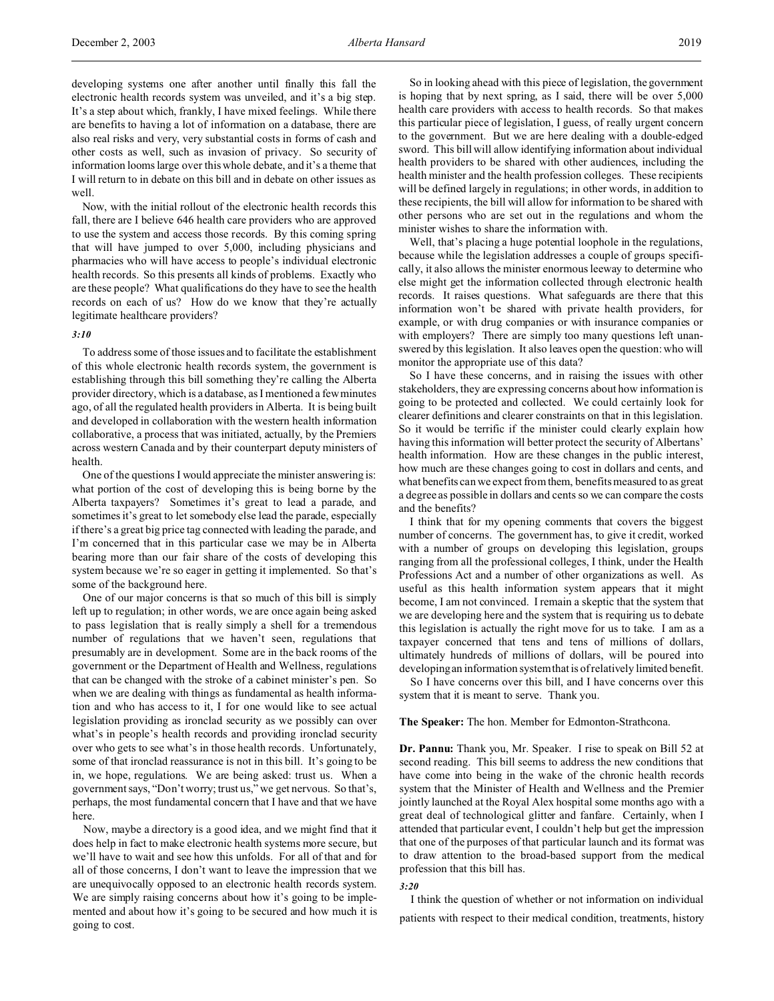developing systems one after another until finally this fall the electronic health records system was unveiled, and it's a big step. It's a step about which, frankly, I have mixed feelings. While there are benefits to having a lot of information on a database, there are also real risks and very, very substantial costs in forms of cash and other costs as well, such as invasion of privacy. So security of information looms large over this whole debate, and it's a theme that I will return to in debate on this bill and in debate on other issues as well.

Now, with the initial rollout of the electronic health records this fall, there are I believe 646 health care providers who are approved to use the system and access those records. By this coming spring that will have jumped to over 5,000, including physicians and pharmacies who will have access to people's individual electronic health records. So this presents all kinds of problems. Exactly who are these people? What qualifications do they have to see the health records on each of us? How do we know that they're actually legitimate healthcare providers?

# *3:10*

To address some of those issues and to facilitate the establishment of this whole electronic health records system, the government is establishing through this bill something they're calling the Alberta provider directory, which is a database, as I mentioned a few minutes ago, of all the regulated health providers in Alberta. It is being built and developed in collaboration with the western health information collaborative, a process that was initiated, actually, by the Premiers across western Canada and by their counterpart deputy ministers of health.

One of the questions I would appreciate the minister answering is: what portion of the cost of developing this is being borne by the Alberta taxpayers? Sometimes it's great to lead a parade, and sometimes it's great to let somebody else lead the parade, especially if there's a great big price tag connected with leading the parade, and I'm concerned that in this particular case we may be in Alberta bearing more than our fair share of the costs of developing this system because we're so eager in getting it implemented. So that's some of the background here.

One of our major concerns is that so much of this bill is simply left up to regulation; in other words, we are once again being asked to pass legislation that is really simply a shell for a tremendous number of regulations that we haven't seen, regulations that presumably are in development. Some are in the back rooms of the government or the Department of Health and Wellness, regulations that can be changed with the stroke of a cabinet minister's pen. So when we are dealing with things as fundamental as health information and who has access to it, I for one would like to see actual legislation providing as ironclad security as we possibly can over what's in people's health records and providing ironclad security over who gets to see what's in those health records. Unfortunately, some of that ironclad reassurance is not in this bill. It's going to be in, we hope, regulations. We are being asked: trust us. When a government says, "Don't worry; trust us," we get nervous. So that's, perhaps, the most fundamental concern that I have and that we have here.

Now, maybe a directory is a good idea, and we might find that it does help in fact to make electronic health systems more secure, but we'll have to wait and see how this unfolds. For all of that and for all of those concerns, I don't want to leave the impression that we are unequivocally opposed to an electronic health records system. We are simply raising concerns about how it's going to be implemented and about how it's going to be secured and how much it is going to cost.

So in looking ahead with this piece of legislation, the government is hoping that by next spring, as I said, there will be over 5,000 health care providers with access to health records. So that makes this particular piece of legislation, I guess, of really urgent concern to the government. But we are here dealing with a double-edged sword. This bill will allow identifying information about individual health providers to be shared with other audiences, including the health minister and the health profession colleges. These recipients will be defined largely in regulations; in other words, in addition to these recipients, the bill will allow for information to be shared with other persons who are set out in the regulations and whom the minister wishes to share the information with.

Well, that's placing a huge potential loophole in the regulations, because while the legislation addresses a couple of groups specifically, it also allows the minister enormous leeway to determine who else might get the information collected through electronic health records. It raises questions. What safeguards are there that this information won't be shared with private health providers, for example, or with drug companies or with insurance companies or with employers? There are simply too many questions left unanswered by this legislation. It also leaves open the question: who will monitor the appropriate use of this data?

So I have these concerns, and in raising the issues with other stakeholders, they are expressing concerns about how information is going to be protected and collected. We could certainly look for clearer definitions and clearer constraints on that in this legislation. So it would be terrific if the minister could clearly explain how having this information will better protect the security of Albertans' health information. How are these changes in the public interest, how much are these changes going to cost in dollars and cents, and what benefits can we expect from them, benefits measured to as great a degree as possible in dollars and cents so we can compare the costs and the benefits?

I think that for my opening comments that covers the biggest number of concerns. The government has, to give it credit, worked with a number of groups on developing this legislation, groups ranging from all the professional colleges, I think, under the Health Professions Act and a number of other organizations as well. As useful as this health information system appears that it might become, I am not convinced. I remain a skeptic that the system that we are developing here and the system that is requiring us to debate this legislation is actually the right move for us to take. I am as a taxpayer concerned that tens and tens of millions of dollars, ultimately hundreds of millions of dollars, will be poured into developing an information system that is of relatively limited benefit.

So I have concerns over this bill, and I have concerns over this system that it is meant to serve. Thank you.

**The Speaker:** The hon. Member for Edmonton-Strathcona.

**Dr. Pannu:** Thank you, Mr. Speaker. I rise to speak on Bill 52 at second reading. This bill seems to address the new conditions that have come into being in the wake of the chronic health records system that the Minister of Health and Wellness and the Premier jointly launched at the Royal Alex hospital some months ago with a great deal of technological glitter and fanfare. Certainly, when I attended that particular event, I couldn't help but get the impression that one of the purposes of that particular launch and its format was to draw attention to the broad-based support from the medical profession that this bill has.

#### *3:20*

I think the question of whether or not information on individual patients with respect to their medical condition, treatments, history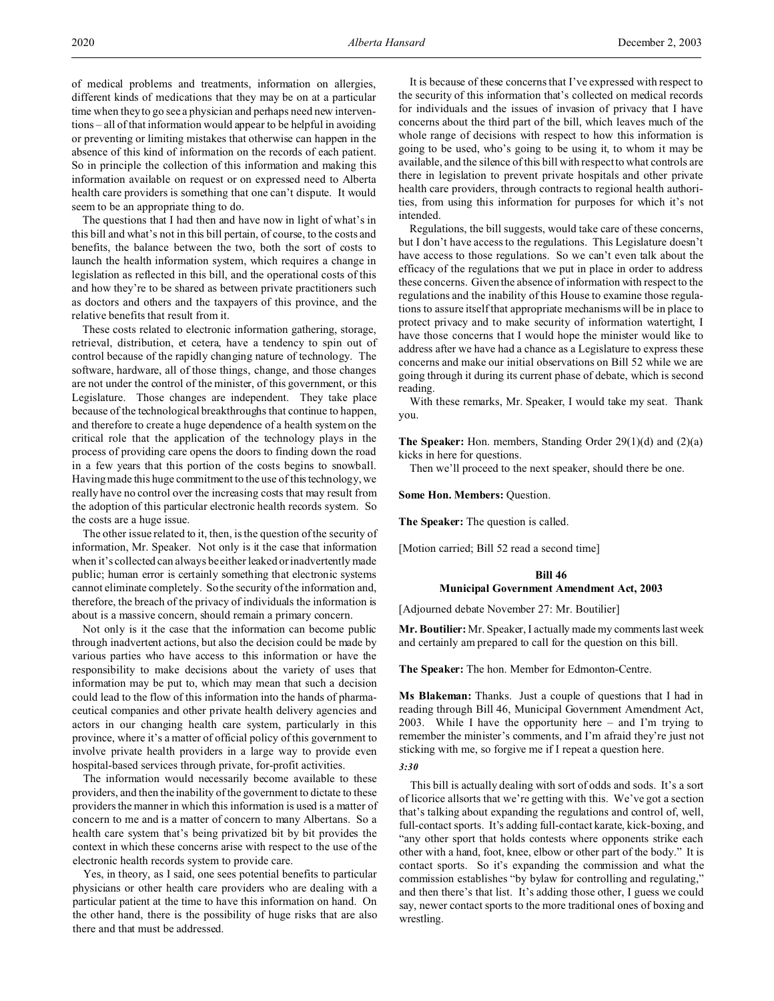of medical problems and treatments, information on allergies, different kinds of medications that they may be on at a particular time when they to go see a physician and perhaps need new interventions – all of that information would appear to be helpful in avoiding or preventing or limiting mistakes that otherwise can happen in the absence of this kind of information on the records of each patient. So in principle the collection of this information and making this information available on request or on expressed need to Alberta health care providers is something that one can't dispute. It would seem to be an appropriate thing to do.

The questions that I had then and have now in light of what's in this bill and what's not in this bill pertain, of course, to the costs and benefits, the balance between the two, both the sort of costs to launch the health information system, which requires a change in legislation as reflected in this bill, and the operational costs of this and how they're to be shared as between private practitioners such as doctors and others and the taxpayers of this province, and the relative benefits that result from it.

These costs related to electronic information gathering, storage, retrieval, distribution, et cetera, have a tendency to spin out of control because of the rapidly changing nature of technology. The software, hardware, all of those things, change, and those changes are not under the control of the minister, of this government, or this Legislature. Those changes are independent. They take place because of the technological breakthroughs that continue to happen, and therefore to create a huge dependence of a health system on the critical role that the application of the technology plays in the process of providing care opens the doors to finding down the road in a few years that this portion of the costs begins to snowball. Having made this huge commitment to the use of this technology, we really have no control over the increasing costs that may result from the adoption of this particular electronic health records system. So the costs are a huge issue.

The other issue related to it, then, is the question of the security of information, Mr. Speaker. Not only is it the case that information when it's collected can always be either leaked or inadvertently made public; human error is certainly something that electronic systems cannot eliminate completely. So the security of the information and, therefore, the breach of the privacy of individuals the information is about is a massive concern, should remain a primary concern.

Not only is it the case that the information can become public through inadvertent actions, but also the decision could be made by various parties who have access to this information or have the responsibility to make decisions about the variety of uses that information may be put to, which may mean that such a decision could lead to the flow of this information into the hands of pharmaceutical companies and other private health delivery agencies and actors in our changing health care system, particularly in this province, where it's a matter of official policy of this government to involve private health providers in a large way to provide even hospital-based services through private, for-profit activities.

The information would necessarily become available to these providers, and then the inability of the government to dictate to these providers the manner in which this information is used is a matter of concern to me and is a matter of concern to many Albertans. So a health care system that's being privatized bit by bit provides the context in which these concerns arise with respect to the use of the electronic health records system to provide care.

Yes, in theory, as I said, one sees potential benefits to particular physicians or other health care providers who are dealing with a particular patient at the time to have this information on hand. On the other hand, there is the possibility of huge risks that are also there and that must be addressed.

It is because of these concerns that I've expressed with respect to the security of this information that's collected on medical records for individuals and the issues of invasion of privacy that I have concerns about the third part of the bill, which leaves much of the whole range of decisions with respect to how this information is going to be used, who's going to be using it, to whom it may be available, and the silence of this bill with respect to what controls are there in legislation to prevent private hospitals and other private health care providers, through contracts to regional health authorities, from using this information for purposes for which it's not intended.

Regulations, the bill suggests, would take care of these concerns, but I don't have access to the regulations. This Legislature doesn't have access to those regulations. So we can't even talk about the efficacy of the regulations that we put in place in order to address these concerns. Given the absence of information with respect to the regulations and the inability of this House to examine those regulations to assure itself that appropriate mechanisms will be in place to protect privacy and to make security of information watertight, I have those concerns that I would hope the minister would like to address after we have had a chance as a Legislature to express these concerns and make our initial observations on Bill 52 while we are going through it during its current phase of debate, which is second reading.

With these remarks, Mr. Speaker, I would take my seat. Thank you.

**The Speaker:** Hon. members, Standing Order 29(1)(d) and (2)(a) kicks in here for questions.

Then we'll proceed to the next speaker, should there be one.

**Some Hon. Members:** Question.

**The Speaker:** The question is called.

[Motion carried; Bill 52 read a second time]

### **Bill 46**

### **Municipal Government Amendment Act, 2003**

[Adjourned debate November 27: Mr. Boutilier]

**Mr. Boutilier:** Mr. Speaker, I actually made my comments last week and certainly am prepared to call for the question on this bill.

**The Speaker:** The hon. Member for Edmonton-Centre.

**Ms Blakeman:** Thanks. Just a couple of questions that I had in reading through Bill 46, Municipal Government Amendment Act, 2003. While I have the opportunity here – and I'm trying to remember the minister's comments, and I'm afraid they're just not sticking with me, so forgive me if I repeat a question here.

## *3:30*

This bill is actually dealing with sort of odds and sods. It's a sort of licorice allsorts that we're getting with this. We've got a section that's talking about expanding the regulations and control of, well, full-contact sports. It's adding full-contact karate, kick-boxing, and "any other sport that holds contests where opponents strike each other with a hand, foot, knee, elbow or other part of the body." It is contact sports. So it's expanding the commission and what the commission establishes "by bylaw for controlling and regulating," and then there's that list. It's adding those other, I guess we could say, newer contact sports to the more traditional ones of boxing and wrestling.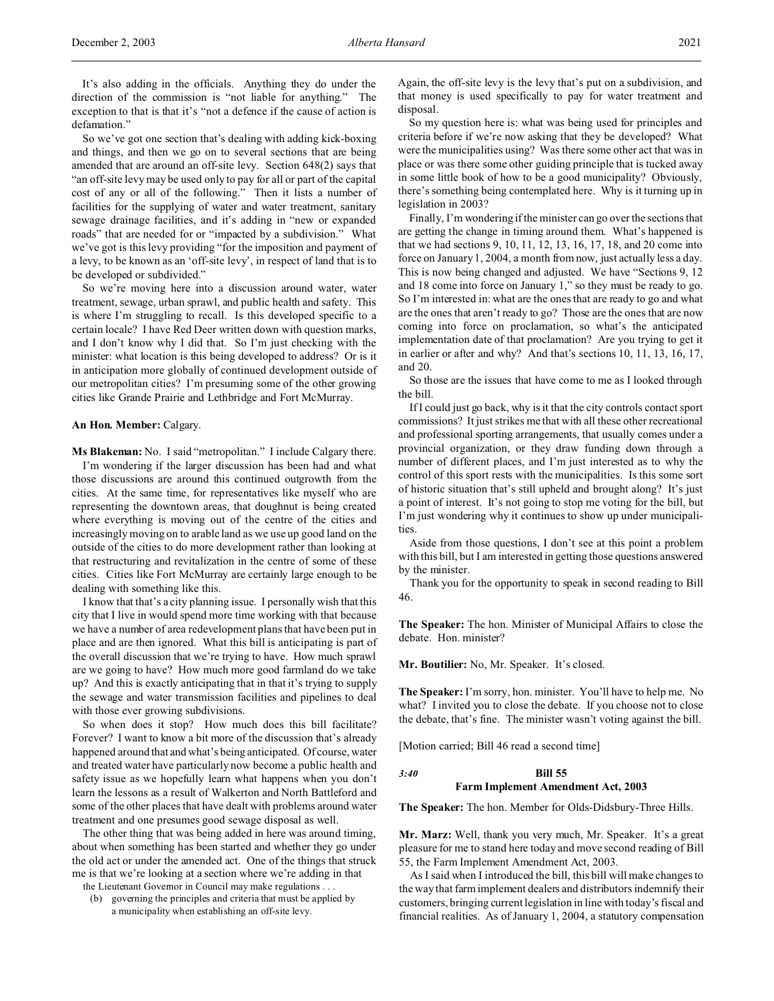So we've got one section that's dealing with adding kick-boxing and things, and then we go on to several sections that are being amended that are around an off-site levy. Section 648(2) says that "an off-site levy may be used only to pay for all or part of the capital cost of any or all of the following." Then it lists a number of facilities for the supplying of water and water treatment, sanitary sewage drainage facilities, and it's adding in "new or expanded roads" that are needed for or "impacted by a subdivision." What we've got is this levy providing "for the imposition and payment of a levy, to be known as an 'off-site levy', in respect of land that is to be developed or subdivided."

So we're moving here into a discussion around water, water treatment, sewage, urban sprawl, and public health and safety. This is where I'm struggling to recall. Is this developed specific to a certain locale? I have Red Deer written down with question marks, and I don't know why I did that. So I'm just checking with the minister: what location is this being developed to address? Or is it in anticipation more globally of continued development outside of our metropolitan cities? I'm presuming some of the other growing cities like Grande Prairie and Lethbridge and Fort McMurray.

### **An Hon. Member:** Calgary.

**Ms Blakeman:** No. I said "metropolitan." I include Calgary there.

I'm wondering if the larger discussion has been had and what those discussions are around this continued outgrowth from the cities. At the same time, for representatives like myself who are representing the downtown areas, that doughnut is being created where everything is moving out of the centre of the cities and increasingly moving on to arable land as we use up good land on the outside of the cities to do more development rather than looking at that restructuring and revitalization in the centre of some of these cities. Cities like Fort McMurray are certainly large enough to be dealing with something like this.

I know that that's a city planning issue. I personally wish that this city that I live in would spend more time working with that because we have a number of area redevelopment plans that have been put in place and are then ignored. What this bill is anticipating is part of the overall discussion that we're trying to have. How much sprawl are we going to have? How much more good farmland do we take up? And this is exactly anticipating that in that it's trying to supply the sewage and water transmission facilities and pipelines to deal with those ever growing subdivisions.

So when does it stop? How much does this bill facilitate? Forever? I want to know a bit more of the discussion that's already happened around that and what's being anticipated. Of course, water and treated water have particularly now become a public health and safety issue as we hopefully learn what happens when you don't learn the lessons as a result of Walkerton and North Battleford and some of the other places that have dealt with problems around water treatment and one presumes good sewage disposal as well.

The other thing that was being added in here was around timing, about when something has been started and whether they go under the old act or under the amended act. One of the things that struck me is that we're looking at a section where we're adding in that

the Lieutenant Governor in Council may make regulations . . .

(b) governing the principles and criteria that must be applied by a municipality when establishing an off-site levy.

Again, the off-site levy is the levy that's put on a subdivision, and that money is used specifically to pay for water treatment and disposal.

So my question here is: what was being used for principles and criteria before if we're now asking that they be developed? What were the municipalities using? Was there some other act that was in place or was there some other guiding principle that is tucked away in some little book of how to be a good municipality? Obviously, there's something being contemplated here. Why is it turning up in legislation in 2003?

Finally, I'm wondering if the minister can go over the sections that are getting the change in timing around them. What's happened is that we had sections 9, 10, 11, 12, 13, 16, 17, 18, and 20 come into force on January 1, 2004, a month from now, just actually less a day. This is now being changed and adjusted. We have "Sections 9, 12 and 18 come into force on January 1," so they must be ready to go. So I'm interested in: what are the ones that are ready to go and what are the ones that aren't ready to go? Those are the ones that are now coming into force on proclamation, so what's the anticipated implementation date of that proclamation? Are you trying to get it in earlier or after and why? And that's sections 10, 11, 13, 16, 17, and 20.

So those are the issues that have come to me as I looked through the bill.

If I could just go back, why is it that the city controls contact sport commissions? It just strikes me that with all these other recreational and professional sporting arrangements, that usually comes under a provincial organization, or they draw funding down through a number of different places, and I'm just interested as to why the control of this sport rests with the municipalities. Is this some sort of historic situation that's still upheld and brought along? It's just a point of interest. It's not going to stop me voting for the bill, but I'm just wondering why it continues to show up under municipalities.

Aside from those questions, I don't see at this point a problem with this bill, but I am interested in getting those questions answered by the minister.

Thank you for the opportunity to speak in second reading to Bill 46.

**The Speaker:** The hon. Minister of Municipal Affairs to close the debate. Hon. minister?

**Mr. Boutilier:** No, Mr. Speaker. It's closed.

**The Speaker:** I'm sorry, hon. minister. You'll have to help me. No what? I invited you to close the debate. If you choose not to close the debate, that's fine. The minister wasn't voting against the bill.

[Motion carried; Bill 46 read a second time]

*3:40* **Bill 55**

### **Farm Implement Amendment Act, 2003**

**The Speaker:** The hon. Member for Olds-Didsbury-Three Hills.

**Mr. Marz:** Well, thank you very much, Mr. Speaker. It's a great pleasure for me to stand here today and move second reading of Bill 55, the Farm Implement Amendment Act, 2003.

As I said when I introduced the bill, this bill will make changes to the way that farm implement dealers and distributors indemnify their customers, bringing current legislation in line with today's fiscal and financial realities. As of January 1, 2004, a statutory compensation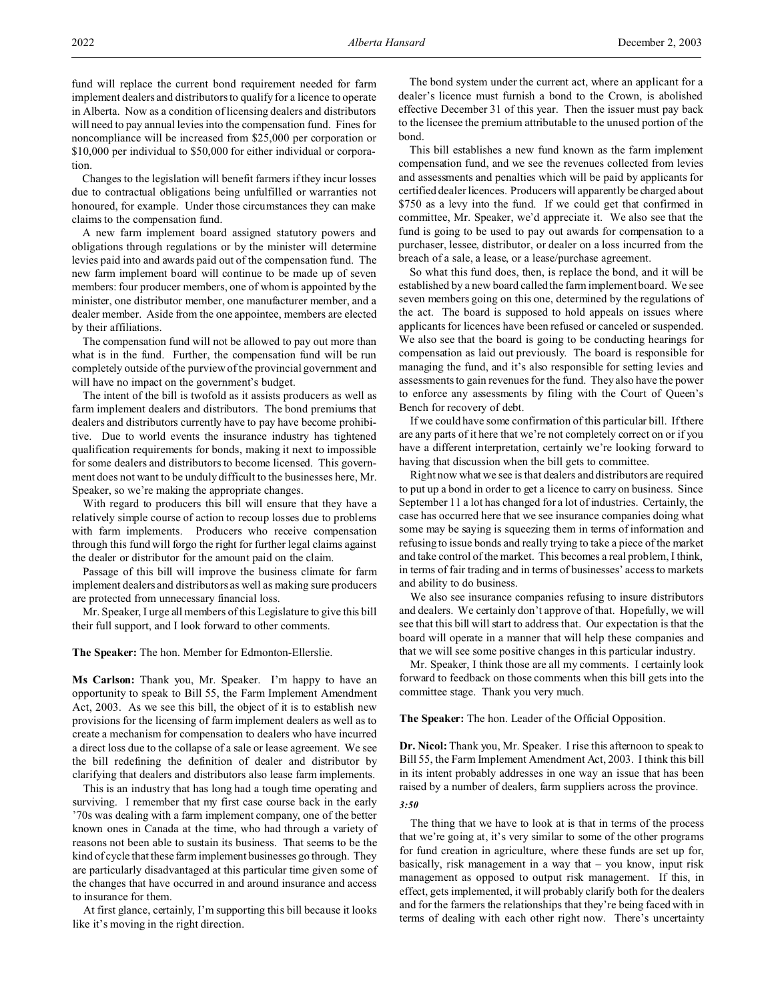fund will replace the current bond requirement needed for farm implement dealers and distributors to qualify for a licence to operate in Alberta. Now as a condition of licensing dealers and distributors will need to pay annual levies into the compensation fund. Fines for noncompliance will be increased from \$25,000 per corporation or \$10,000 per individual to \$50,000 for either individual or corporation.

Changes to the legislation will benefit farmers if they incur losses due to contractual obligations being unfulfilled or warranties not honoured, for example. Under those circumstances they can make claims to the compensation fund.

A new farm implement board assigned statutory powers and obligations through regulations or by the minister will determine levies paid into and awards paid out of the compensation fund. The new farm implement board will continue to be made up of seven members: four producer members, one of whom is appointed by the minister, one distributor member, one manufacturer member, and a dealer member. Aside from the one appointee, members are elected by their affiliations.

The compensation fund will not be allowed to pay out more than what is in the fund. Further, the compensation fund will be run completely outside of the purview of the provincial government and will have no impact on the government's budget.

The intent of the bill is twofold as it assists producers as well as farm implement dealers and distributors. The bond premiums that dealers and distributors currently have to pay have become prohibitive. Due to world events the insurance industry has tightened qualification requirements for bonds, making it next to impossible for some dealers and distributors to become licensed. This government does not want to be unduly difficult to the businesses here, Mr. Speaker, so we're making the appropriate changes.

With regard to producers this bill will ensure that they have a relatively simple course of action to recoup losses due to problems with farm implements. Producers who receive compensation through this fund will forgo the right for further legal claims against the dealer or distributor for the amount paid on the claim.

Passage of this bill will improve the business climate for farm implement dealers and distributors as well as making sure producers are protected from unnecessary financial loss.

Mr. Speaker, I urge all members of this Legislature to give this bill their full support, and I look forward to other comments.

### **The Speaker:** The hon. Member for Edmonton-Ellerslie.

**Ms Carlson:** Thank you, Mr. Speaker. I'm happy to have an opportunity to speak to Bill 55, the Farm Implement Amendment Act, 2003. As we see this bill, the object of it is to establish new provisions for the licensing of farm implement dealers as well as to create a mechanism for compensation to dealers who have incurred a direct loss due to the collapse of a sale or lease agreement. We see the bill redefining the definition of dealer and distributor by clarifying that dealers and distributors also lease farm implements.

This is an industry that has long had a tough time operating and surviving. I remember that my first case course back in the early '70s was dealing with a farm implement company, one of the better known ones in Canada at the time, who had through a variety of reasons not been able to sustain its business. That seems to be the kind of cycle that these farm implement businesses go through. They are particularly disadvantaged at this particular time given some of the changes that have occurred in and around insurance and access to insurance for them.

At first glance, certainly, I'm supporting this bill because it looks like it's moving in the right direction.

The bond system under the current act, where an applicant for a dealer's licence must furnish a bond to the Crown, is abolished effective December 31 of this year. Then the issuer must pay back to the licensee the premium attributable to the unused portion of the bond.

This bill establishes a new fund known as the farm implement compensation fund, and we see the revenues collected from levies and assessments and penalties which will be paid by applicants for certified dealer licences. Producers will apparently be charged about \$750 as a levy into the fund. If we could get that confirmed in committee, Mr. Speaker, we'd appreciate it. We also see that the fund is going to be used to pay out awards for compensation to a purchaser, lessee, distributor, or dealer on a loss incurred from the breach of a sale, a lease, or a lease/purchase agreement.

So what this fund does, then, is replace the bond, and it will be established by a new board called the farm implement board. We see seven members going on this one, determined by the regulations of the act. The board is supposed to hold appeals on issues where applicants for licences have been refused or canceled or suspended. We also see that the board is going to be conducting hearings for compensation as laid out previously. The board is responsible for managing the fund, and it's also responsible for setting levies and assessments to gain revenues for the fund. They also have the power to enforce any assessments by filing with the Court of Queen's Bench for recovery of debt.

If we could have some confirmation of this particular bill. If there are any parts of it here that we're not completely correct on or if you have a different interpretation, certainly we're looking forward to having that discussion when the bill gets to committee.

Right now what we see is that dealers and distributors are required to put up a bond in order to get a licence to carry on business. Since September 11 a lot has changed for a lot of industries. Certainly, the case has occurred here that we see insurance companies doing what some may be saying is squeezing them in terms of information and refusing to issue bonds and really trying to take a piece of the market and take control of the market. This becomes a real problem, I think, in terms of fair trading and in terms of businesses' access to markets and ability to do business.

We also see insurance companies refusing to insure distributors and dealers. We certainly don't approve of that. Hopefully, we will see that this bill will start to address that. Our expectation is that the board will operate in a manner that will help these companies and that we will see some positive changes in this particular industry.

Mr. Speaker, I think those are all my comments. I certainly look forward to feedback on those comments when this bill gets into the committee stage. Thank you very much.

**The Speaker:** The hon. Leader of the Official Opposition.

**Dr. Nicol:** Thank you, Mr. Speaker. I rise this afternoon to speak to Bill 55, the Farm Implement Amendment Act, 2003. I think this bill in its intent probably addresses in one way an issue that has been raised by a number of dealers, farm suppliers across the province.

### *3:50*

The thing that we have to look at is that in terms of the process that we're going at, it's very similar to some of the other programs for fund creation in agriculture, where these funds are set up for, basically, risk management in a way that – you know, input risk management as opposed to output risk management. If this, in effect, gets implemented, it will probably clarify both for the dealers and for the farmers the relationships that they're being faced with in terms of dealing with each other right now. There's uncertainty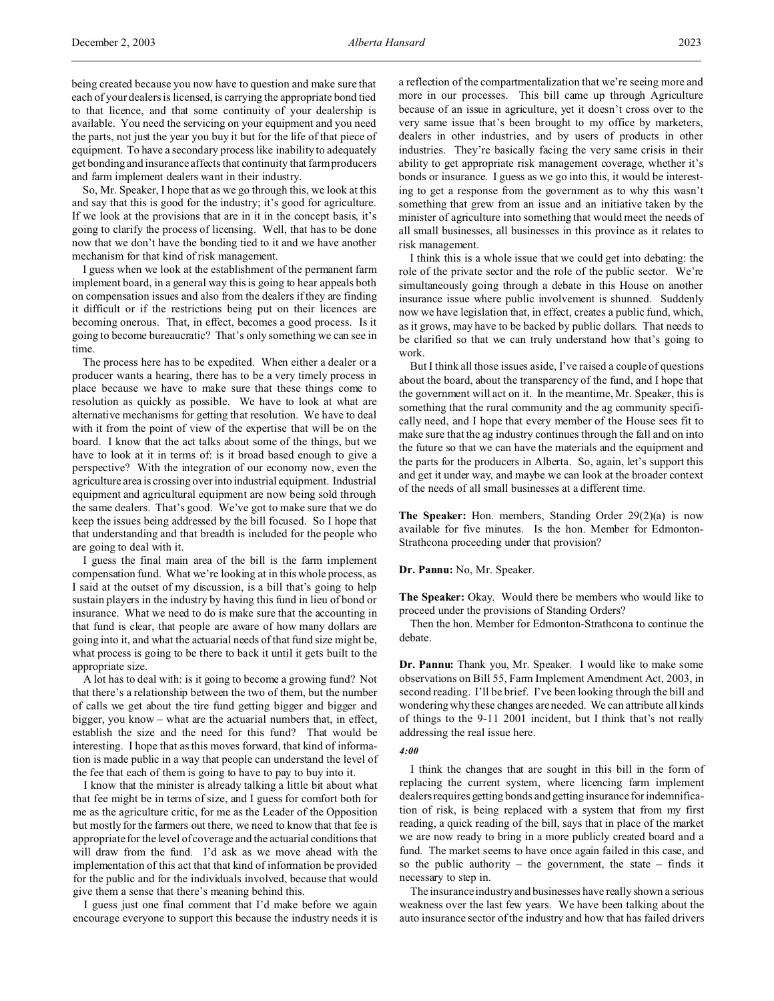being created because you now have to question and make sure that each of your dealers is licensed, is carrying the appropriate bond tied to that licence, and that some continuity of your dealership is available. You need the servicing on your equipment and you need the parts, not just the year you buy it but for the life of that piece of equipment. To have a secondary process like inability to adequately get bonding and insurance affects that continuity that farm producers and farm implement dealers want in their industry.

So, Mr. Speaker, I hope that as we go through this, we look at this and say that this is good for the industry; it's good for agriculture. If we look at the provisions that are in it in the concept basis, it's going to clarify the process of licensing. Well, that has to be done now that we don't have the bonding tied to it and we have another mechanism for that kind of risk management.

I guess when we look at the establishment of the permanent farm implement board, in a general way this is going to hear appeals both on compensation issues and also from the dealers if they are finding it difficult or if the restrictions being put on their licences are becoming onerous. That, in effect, becomes a good process. Is it going to become bureaucratic? That's only something we can see in time.

The process here has to be expedited. When either a dealer or a producer wants a hearing, there has to be a very timely process in place because we have to make sure that these things come to resolution as quickly as possible. We have to look at what are alternative mechanisms for getting that resolution. We have to deal with it from the point of view of the expertise that will be on the board. I know that the act talks about some of the things, but we have to look at it in terms of: is it broad based enough to give a perspective? With the integration of our economy now, even the agriculture area is crossing over into industrial equipment. Industrial equipment and agricultural equipment are now being sold through the same dealers. That's good. We've got to make sure that we do keep the issues being addressed by the bill focused. So I hope that that understanding and that breadth is included for the people who are going to deal with it.

I guess the final main area of the bill is the farm implement compensation fund. What we're looking at in this whole process, as I said at the outset of my discussion, is a bill that's going to help sustain players in the industry by having this fund in lieu of bond or insurance. What we need to do is make sure that the accounting in that fund is clear, that people are aware of how many dollars are going into it, and what the actuarial needs of that fund size might be, what process is going to be there to back it until it gets built to the appropriate size.

A lot has to deal with: is it going to become a growing fund? Not that there's a relationship between the two of them, but the number of calls we get about the tire fund getting bigger and bigger and bigger, you know – what are the actuarial numbers that, in effect, establish the size and the need for this fund? That would be interesting. I hope that as this moves forward, that kind of information is made public in a way that people can understand the level of the fee that each of them is going to have to pay to buy into it.

I know that the minister is already talking a little bit about what that fee might be in terms of size, and I guess for comfort both for me as the agriculture critic, for me as the Leader of the Opposition but mostly for the farmers out there, we need to know that that fee is appropriate for the level of coverage and the actuarial conditions that will draw from the fund. I'd ask as we move ahead with the implementation of this act that that kind of information be provided for the public and for the individuals involved, because that would give them a sense that there's meaning behind this.

I guess just one final comment that I'd make before we again encourage everyone to support this because the industry needs it is

a reflection of the compartmentalization that we're seeing more and more in our processes. This bill came up through Agriculture because of an issue in agriculture, yet it doesn't cross over to the very same issue that's been brought to my office by marketers, dealers in other industries, and by users of products in other industries. They're basically facing the very same crisis in their ability to get appropriate risk management coverage, whether it's bonds or insurance. I guess as we go into this, it would be interesting to get a response from the government as to why this wasn't something that grew from an issue and an initiative taken by the minister of agriculture into something that would meet the needs of all small businesses, all businesses in this province as it relates to risk management.

I think this is a whole issue that we could get into debating: the role of the private sector and the role of the public sector. We're simultaneously going through a debate in this House on another insurance issue where public involvement is shunned. Suddenly now we have legislation that, in effect, creates a public fund, which, as it grows, may have to be backed by public dollars. That needs to be clarified so that we can truly understand how that's going to work.

But I think all those issues aside, I've raised a couple of questions about the board, about the transparency of the fund, and I hope that the government will act on it. In the meantime, Mr. Speaker, this is something that the rural community and the ag community specifically need, and I hope that every member of the House sees fit to make sure that the ag industry continues through the fall and on into the future so that we can have the materials and the equipment and the parts for the producers in Alberta. So, again, let's support this and get it under way, and maybe we can look at the broader context of the needs of all small businesses at a different time.

**The Speaker:** Hon. members, Standing Order 29(2)(a) is now available for five minutes. Is the hon. Member for Edmonton-Strathcona proceeding under that provision?

### **Dr. Pannu:** No, Mr. Speaker.

**The Speaker:** Okay. Would there be members who would like to proceed under the provisions of Standing Orders?

Then the hon. Member for Edmonton-Strathcona to continue the debate.

**Dr. Pannu:** Thank you, Mr. Speaker. I would like to make some observations on Bill 55, Farm Implement Amendment Act, 2003, in second reading. I'll be brief. I've been looking through the bill and wondering why these changes are needed. We can attribute all kinds of things to the 9-11 2001 incident, but I think that's not really addressing the real issue here.

## *4:00*

I think the changes that are sought in this bill in the form of replacing the current system, where licencing farm implement dealers requires getting bonds and getting insurance for indemnification of risk, is being replaced with a system that from my first reading, a quick reading of the bill, says that in place of the market we are now ready to bring in a more publicly created board and a fund. The market seems to have once again failed in this case, and so the public authority – the government, the state – finds it necessary to step in.

The insurance industry and businesses have really shown a serious weakness over the last few years. We have been talking about the auto insurance sector of the industry and how that has failed drivers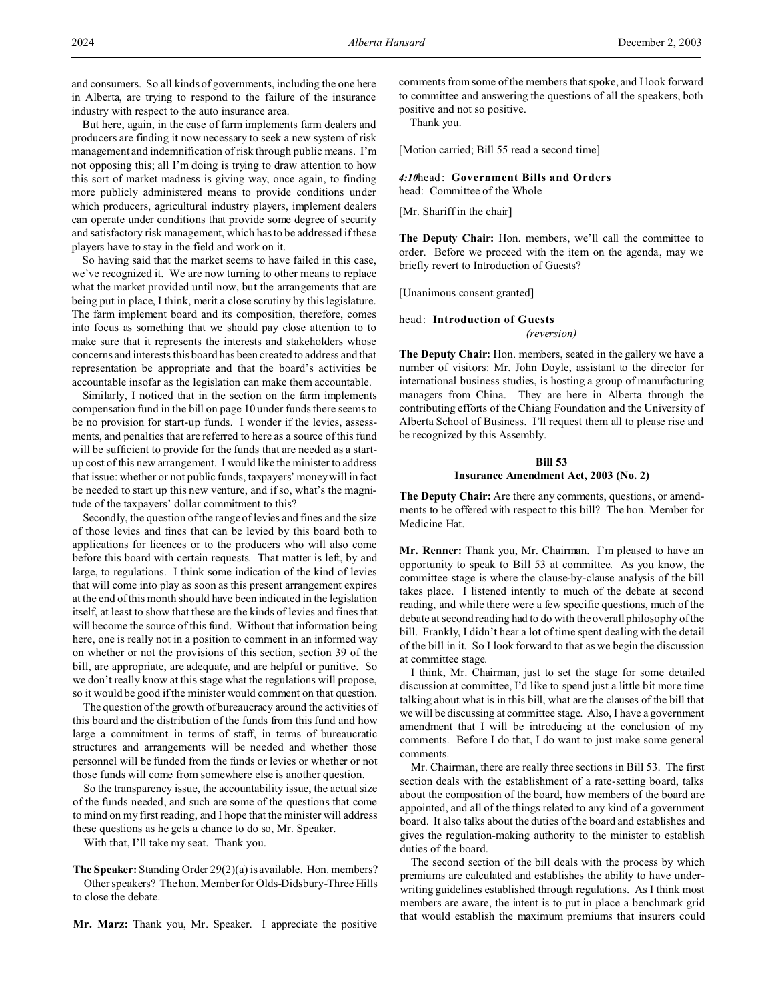and consumers. So all kinds of governments, including the one here in Alberta, are trying to respond to the failure of the insurance industry with respect to the auto insurance area.

But here, again, in the case of farm implements farm dealers and producers are finding it now necessary to seek a new system of risk management and indemnification of risk through public means. I'm not opposing this; all I'm doing is trying to draw attention to how this sort of market madness is giving way, once again, to finding more publicly administered means to provide conditions under which producers, agricultural industry players, implement dealers can operate under conditions that provide some degree of security and satisfactory risk management, which has to be addressed if these players have to stay in the field and work on it.

So having said that the market seems to have failed in this case, we've recognized it. We are now turning to other means to replace what the market provided until now, but the arrangements that are being put in place, I think, merit a close scrutiny by this legislature. The farm implement board and its composition, therefore, comes into focus as something that we should pay close attention to to make sure that it represents the interests and stakeholders whose concerns and interests this board has been created to address and that representation be appropriate and that the board's activities be accountable insofar as the legislation can make them accountable.

Similarly, I noticed that in the section on the farm implements compensation fund in the bill on page 10 under funds there seems to be no provision for start-up funds. I wonder if the levies, assessments, and penalties that are referred to here as a source of this fund will be sufficient to provide for the funds that are needed as a startup cost of this new arrangement. I would like the minister to address that issue: whether or not public funds, taxpayers' money will in fact be needed to start up this new venture, and if so, what's the magnitude of the taxpayers' dollar commitment to this?

Secondly, the question of the range of levies and fines and the size of those levies and fines that can be levied by this board both to applications for licences or to the producers who will also come before this board with certain requests. That matter is left, by and large, to regulations. I think some indication of the kind of levies that will come into play as soon as this present arrangement expires at the end of this month should have been indicated in the legislation itself, at least to show that these are the kinds of levies and fines that will become the source of this fund. Without that information being here, one is really not in a position to comment in an informed way on whether or not the provisions of this section, section 39 of the bill, are appropriate, are adequate, and are helpful or punitive. So we don't really know at this stage what the regulations will propose, so it would be good if the minister would comment on that question.

The question of the growth of bureaucracy around the activities of this board and the distribution of the funds from this fund and how large a commitment in terms of staff, in terms of bureaucratic structures and arrangements will be needed and whether those personnel will be funded from the funds or levies or whether or not those funds will come from somewhere else is another question.

So the transparency issue, the accountability issue, the actual size of the funds needed, and such are some of the questions that come to mind on my first reading, and I hope that the minister will address these questions as he gets a chance to do so, Mr. Speaker.

With that, I'll take my seat. Thank you.

**The Speaker:** Standing Order 29(2)(a) is available. Hon. members? Other speakers? The hon. Member for Olds-Didsbury-Three Hills to close the debate.

**Mr. Marz:** Thank you, Mr. Speaker. I appreciate the positive

comments from some of the members that spoke, and I look forward to committee and answering the questions of all the speakers, both positive and not so positive.

Thank you.

[Motion carried; Bill 55 read a second time]

*4:10*head: **Government Bills and Orders** head: Committee of the Whole

[Mr. Shariff in the chair]

**The Deputy Chair:** Hon. members, we'll call the committee to order. Before we proceed with the item on the agenda, may we briefly revert to Introduction of Guests?

[Unanimous consent granted]

### head: **Introduction of Guests**

*(reversion)*

**The Deputy Chair:** Hon. members, seated in the gallery we have a number of visitors: Mr. John Doyle, assistant to the director for international business studies, is hosting a group of manufacturing managers from China. They are here in Alberta through the contributing efforts of the Chiang Foundation and the University of Alberta School of Business. I'll request them all to please rise and be recognized by this Assembly.

# **Bill 53 Insurance Amendment Act, 2003 (No. 2)**

**The Deputy Chair:** Are there any comments, questions, or amendments to be offered with respect to this bill? The hon. Member for Medicine Hat.

**Mr. Renner:** Thank you, Mr. Chairman. I'm pleased to have an opportunity to speak to Bill 53 at committee. As you know, the committee stage is where the clause-by-clause analysis of the bill takes place. I listened intently to much of the debate at second reading, and while there were a few specific questions, much of the debate at second reading had to do with the overall philosophy of the bill. Frankly, I didn't hear a lot of time spent dealing with the detail of the bill in it. So I look forward to that as we begin the discussion at committee stage.

I think, Mr. Chairman, just to set the stage for some detailed discussion at committee, I'd like to spend just a little bit more time talking about what is in this bill, what are the clauses of the bill that we will be discussing at committee stage. Also, I have a government amendment that I will be introducing at the conclusion of my comments. Before I do that, I do want to just make some general comments.

Mr. Chairman, there are really three sections in Bill 53. The first section deals with the establishment of a rate-setting board, talks about the composition of the board, how members of the board are appointed, and all of the things related to any kind of a government board. It also talks about the duties of the board and establishes and gives the regulation-making authority to the minister to establish duties of the board.

The second section of the bill deals with the process by which premiums are calculated and establishes the ability to have underwriting guidelines established through regulations. As I think most members are aware, the intent is to put in place a benchmark grid that would establish the maximum premiums that insurers could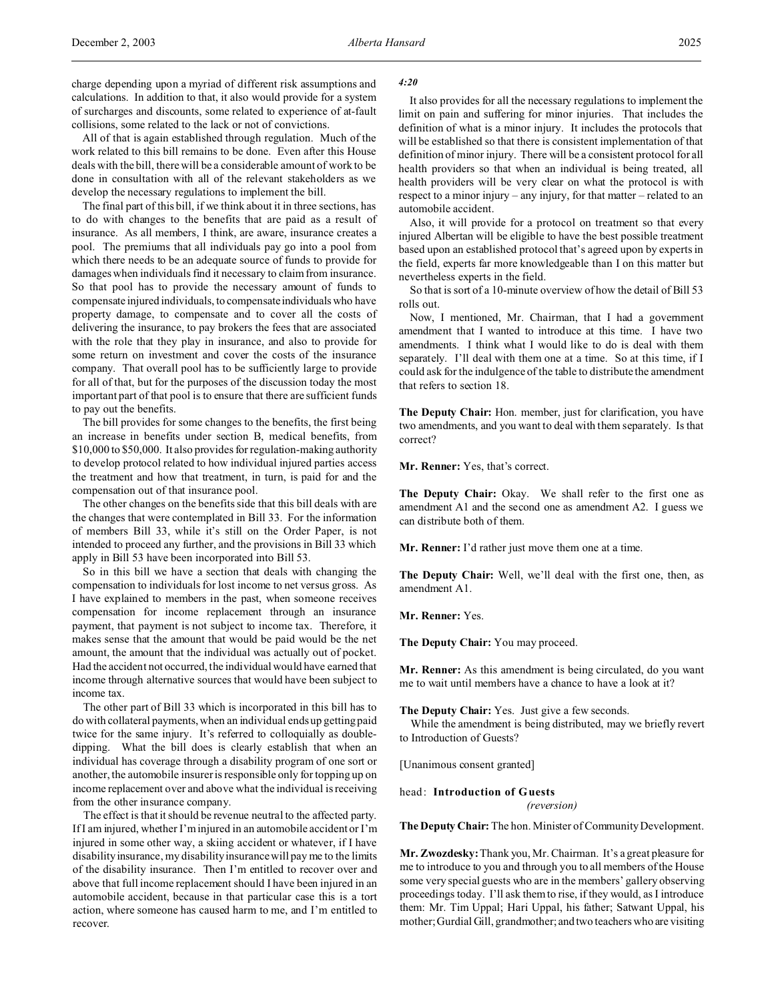All of that is again established through regulation. Much of the work related to this bill remains to be done. Even after this House deals with the bill, there will be a considerable amount of work to be done in consultation with all of the relevant stakeholders as we develop the necessary regulations to implement the bill.

The final part of this bill, if we think about it in three sections, has to do with changes to the benefits that are paid as a result of insurance. As all members, I think, are aware, insurance creates a pool. The premiums that all individuals pay go into a pool from which there needs to be an adequate source of funds to provide for damages when individuals find it necessary to claim from insurance. So that pool has to provide the necessary amount of funds to compensate injured individuals, to compensateindividuals who have property damage, to compensate and to cover all the costs of delivering the insurance, to pay brokers the fees that are associated with the role that they play in insurance, and also to provide for some return on investment and cover the costs of the insurance company. That overall pool has to be sufficiently large to provide for all of that, but for the purposes of the discussion today the most important part of that pool is to ensure that there are sufficient funds to pay out the benefits.

The bill provides for some changes to the benefits, the first being an increase in benefits under section B, medical benefits, from \$10,000 to \$50,000. It also provides for regulation-making authority to develop protocol related to how individual injured parties access the treatment and how that treatment, in turn, is paid for and the compensation out of that insurance pool.

The other changes on the benefits side that this bill deals with are the changes that were contemplated in Bill 33. For the information of members Bill 33, while it's still on the Order Paper, is not intended to proceed any further, and the provisions in Bill 33 which apply in Bill 53 have been incorporated into Bill 53.

So in this bill we have a section that deals with changing the compensation to individuals for lost income to net versus gross. As I have explained to members in the past, when someone receives compensation for income replacement through an insurance payment, that payment is not subject to income tax. Therefore, it makes sense that the amount that would be paid would be the net amount, the amount that the individual was actually out of pocket. Had the accident not occurred, the individual would have earned that income through alternative sources that would have been subject to income tax.

The other part of Bill 33 which is incorporated in this bill has to do with collateral payments, when an individual ends up getting paid twice for the same injury. It's referred to colloquially as doubledipping. What the bill does is clearly establish that when an individual has coverage through a disability program of one sort or another, the automobile insurer is responsible only for topping up on income replacement over and above what the individual is receiving from the other insurance company.

The effect is that it should be revenue neutral to the affected party. If I am injured, whether I'm injured in an automobile accident or I'm injured in some other way, a skiing accident or whatever, if I have disability insurance, my disability insurance will pay me to the limits of the disability insurance. Then I'm entitled to recover over and above that full income replacement should I have been injured in an automobile accident, because in that particular case this is a tort action, where someone has caused harm to me, and I'm entitled to recover.

### *4:20*

It also provides for all the necessary regulations to implement the limit on pain and suffering for minor injuries. That includes the definition of what is a minor injury. It includes the protocols that will be established so that there is consistent implementation of that definition of minor injury. There will be a consistent protocol for all health providers so that when an individual is being treated, all health providers will be very clear on what the protocol is with respect to a minor injury – any injury, for that matter – related to an automobile accident.

Also, it will provide for a protocol on treatment so that every injured Albertan will be eligible to have the best possible treatment based upon an established protocol that's agreed upon by experts in the field, experts far more knowledgeable than I on this matter but nevertheless experts in the field.

So that is sort of a 10-minute overview of how the detail of Bill 53 rolls out.

Now, I mentioned, Mr. Chairman, that I had a government amendment that I wanted to introduce at this time. I have two amendments. I think what I would like to do is deal with them separately. I'll deal with them one at a time. So at this time, if I could ask for the indulgence of the table to distribute the amendment that refers to section 18.

**The Deputy Chair:** Hon. member, just for clarification, you have two amendments, and you want to deal with them separately. Is that correct?

**Mr. Renner:** Yes, that's correct.

**The Deputy Chair:** Okay. We shall refer to the first one as amendment A1 and the second one as amendment A2. I guess we can distribute both of them.

**Mr. Renner:** I'd rather just move them one at a time.

**The Deputy Chair:** Well, we'll deal with the first one, then, as amendment A1.

**Mr. Renner:** Yes.

**The Deputy Chair:** You may proceed.

**Mr. Renner:** As this amendment is being circulated, do you want me to wait until members have a chance to have a look at it?

**The Deputy Chair:** Yes. Just give a few seconds.

While the amendment is being distributed, may we briefly revert to Introduction of Guests?

[Unanimous consent granted]

head: **Introduction of Guests** *(reversion)*

**The Deputy Chair:** The hon. Minister of Community Development.

**Mr. Zwozdesky:** Thank you, Mr. Chairman. It's a great pleasure for me to introduce to you and through you to all members of the House some very special guests who are in the members' gallery observing proceedings today. I'll ask them to rise, if they would, as I introduce them: Mr. Tim Uppal; Hari Uppal, his father; Satwant Uppal, his mother; Gurdial Gill, grandmother; and two teachers who are visiting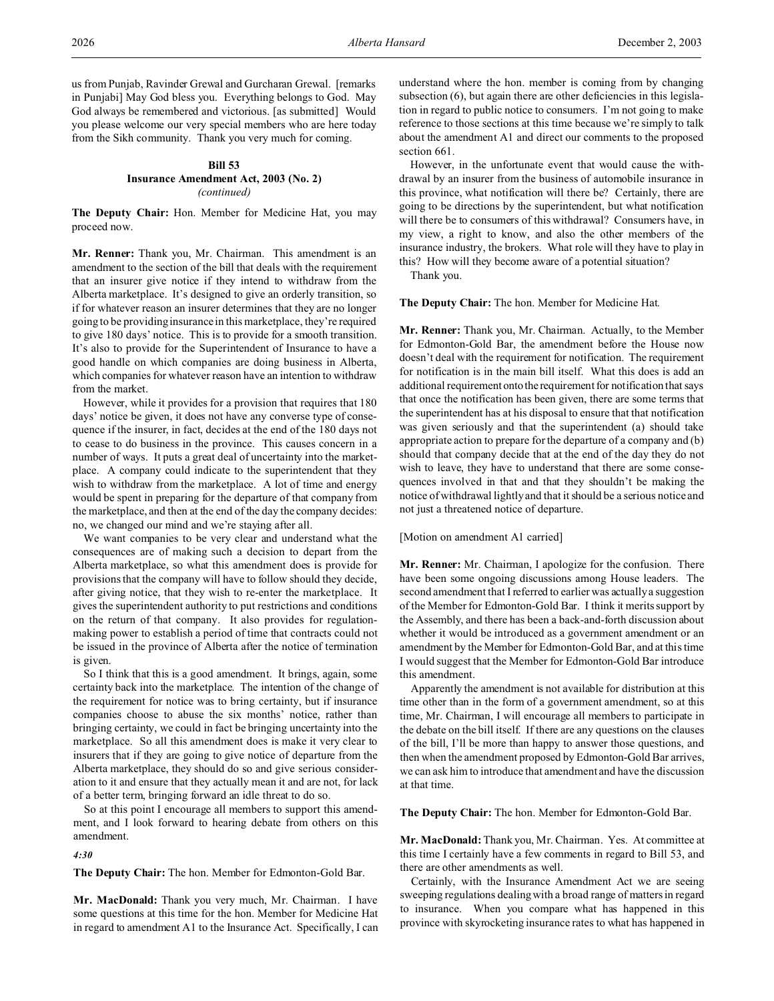us from Punjab, Ravinder Grewal and Gurcharan Grewal. [remarks in Punjabi] May God bless you. Everything belongs to God. May God always be remembered and victorious. [as submitted] Would you please welcome our very special members who are here today from the Sikh community. Thank you very much for coming.

# **Bill 53 Insurance Amendment Act, 2003 (No. 2)** *(continued)*

**The Deputy Chair:** Hon. Member for Medicine Hat, you may proceed now.

**Mr. Renner:** Thank you, Mr. Chairman. This amendment is an amendment to the section of the bill that deals with the requirement that an insurer give notice if they intend to withdraw from the Alberta marketplace. It's designed to give an orderly transition, so if for whatever reason an insurer determines that they are no longer going to be providing insurance in this marketplace, they're required to give 180 days' notice. This is to provide for a smooth transition. It's also to provide for the Superintendent of Insurance to have a good handle on which companies are doing business in Alberta, which companies for whatever reason have an intention to withdraw from the market.

However, while it provides for a provision that requires that 180 days' notice be given, it does not have any converse type of consequence if the insurer, in fact, decides at the end of the 180 days not to cease to do business in the province. This causes concern in a number of ways. It puts a great deal of uncertainty into the marketplace. A company could indicate to the superintendent that they wish to withdraw from the marketplace. A lot of time and energy would be spent in preparing for the departure of that company from the marketplace, and then at the end of the day the company decides: no, we changed our mind and we're staying after all.

We want companies to be very clear and understand what the consequences are of making such a decision to depart from the Alberta marketplace, so what this amendment does is provide for provisions that the company will have to follow should they decide, after giving notice, that they wish to re-enter the marketplace. It gives the superintendent authority to put restrictions and conditions on the return of that company. It also provides for regulationmaking power to establish a period of time that contracts could not be issued in the province of Alberta after the notice of termination is given.

So I think that this is a good amendment. It brings, again, some certainty back into the marketplace. The intention of the change of the requirement for notice was to bring certainty, but if insurance companies choose to abuse the six months' notice, rather than bringing certainty, we could in fact be bringing uncertainty into the marketplace. So all this amendment does is make it very clear to insurers that if they are going to give notice of departure from the Alberta marketplace, they should do so and give serious consideration to it and ensure that they actually mean it and are not, for lack of a better term, bringing forward an idle threat to do so.

So at this point I encourage all members to support this amendment, and I look forward to hearing debate from others on this amendment.

*4:30*

**The Deputy Chair:** The hon. Member for Edmonton-Gold Bar.

**Mr. MacDonald:** Thank you very much, Mr. Chairman. I have some questions at this time for the hon. Member for Medicine Hat in regard to amendment A1 to the Insurance Act. Specifically, I can understand where the hon. member is coming from by changing subsection (6), but again there are other deficiencies in this legislation in regard to public notice to consumers. I'm not going to make reference to those sections at this time because we're simply to talk about the amendment A1 and direct our comments to the proposed section 661.

However, in the unfortunate event that would cause the withdrawal by an insurer from the business of automobile insurance in this province, what notification will there be? Certainly, there are going to be directions by the superintendent, but what notification will there be to consumers of this withdrawal? Consumers have, in my view, a right to know, and also the other members of the insurance industry, the brokers. What role will they have to play in this? How will they become aware of a potential situation?

Thank you.

**The Deputy Chair:** The hon. Member for Medicine Hat.

**Mr. Renner:** Thank you, Mr. Chairman. Actually, to the Member for Edmonton-Gold Bar, the amendment before the House now doesn't deal with the requirement for notification. The requirement for notification is in the main bill itself. What this does is add an additional requirement onto the requirement for notification that says that once the notification has been given, there are some terms that the superintendent has at his disposal to ensure that that notification was given seriously and that the superintendent (a) should take appropriate action to prepare for the departure of a company and (b) should that company decide that at the end of the day they do not wish to leave, they have to understand that there are some consequences involved in that and that they shouldn't be making the notice of withdrawal lightly and that it should be a serious notice and not just a threatened notice of departure.

[Motion on amendment A1 carried]

**Mr. Renner:** Mr. Chairman, I apologize for the confusion. There have been some ongoing discussions among House leaders. The second amendment that I referred to earlier was actually a suggestion of the Member for Edmonton-Gold Bar. I think it merits support by the Assembly, and there has been a back-and-forth discussion about whether it would be introduced as a government amendment or an amendment by the Member for Edmonton-Gold Bar, and at this time I would suggest that the Member for Edmonton-Gold Bar introduce this amendment.

Apparently the amendment is not available for distribution at this time other than in the form of a government amendment, so at this time, Mr. Chairman, I will encourage all members to participate in the debate on the bill itself. If there are any questions on the clauses of the bill, I'll be more than happy to answer those questions, and then when the amendment proposed by Edmonton-Gold Bar arrives, we can ask him to introduce that amendment and have the discussion at that time.

**The Deputy Chair:** The hon. Member for Edmonton-Gold Bar.

**Mr. MacDonald:** Thank you, Mr. Chairman. Yes. At committee at this time I certainly have a few comments in regard to Bill 53, and there are other amendments as well.

Certainly, with the Insurance Amendment Act we are seeing sweeping regulations dealing with a broad range of matters in regard to insurance. When you compare what has happened in this province with skyrocketing insurance rates to what has happened in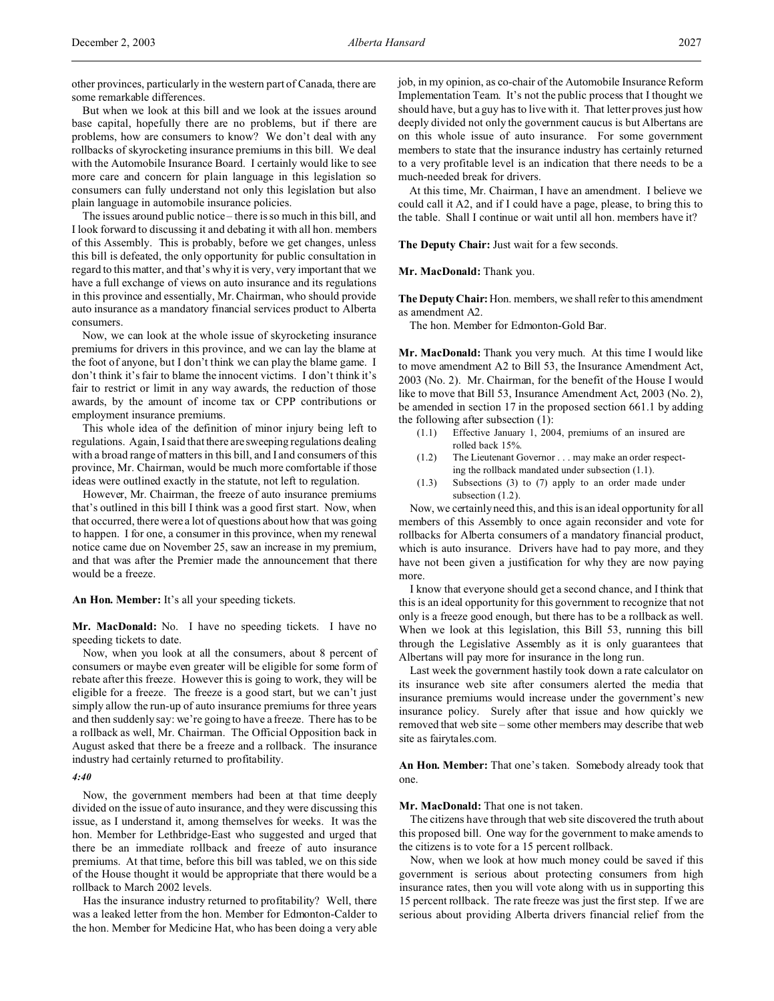other provinces, particularly in the western part of Canada, there are some remarkable differences.

But when we look at this bill and we look at the issues around base capital, hopefully there are no problems, but if there are problems, how are consumers to know? We don't deal with any rollbacks of skyrocketing insurance premiums in this bill. We deal with the Automobile Insurance Board. I certainly would like to see more care and concern for plain language in this legislation so consumers can fully understand not only this legislation but also plain language in automobile insurance policies.

The issues around public notice – there is so much in this bill, and I look forward to discussing it and debating it with all hon. members of this Assembly. This is probably, before we get changes, unless this bill is defeated, the only opportunity for public consultation in regard to this matter, and that's why it is very, very important that we have a full exchange of views on auto insurance and its regulations in this province and essentially, Mr. Chairman, who should provide auto insurance as a mandatory financial services product to Alberta consumers.

Now, we can look at the whole issue of skyrocketing insurance premiums for drivers in this province, and we can lay the blame at the foot of anyone, but I don't think we can play the blame game. I don't think it's fair to blame the innocent victims. I don't think it's fair to restrict or limit in any way awards, the reduction of those awards, by the amount of income tax or CPP contributions or employment insurance premiums.

This whole idea of the definition of minor injury being left to regulations. Again, I said that there are sweeping regulations dealing with a broad range of matters in this bill, and I and consumers of this province, Mr. Chairman, would be much more comfortable if those ideas were outlined exactly in the statute, not left to regulation.

However, Mr. Chairman, the freeze of auto insurance premiums that's outlined in this bill I think was a good first start. Now, when that occurred, there were a lot of questions about how that was going to happen. I for one, a consumer in this province, when my renewal notice came due on November 25, saw an increase in my premium, and that was after the Premier made the announcement that there would be a freeze.

**An Hon. Member:** It's all your speeding tickets.

**Mr. MacDonald:** No. I have no speeding tickets. I have no speeding tickets to date.

Now, when you look at all the consumers, about 8 percent of consumers or maybe even greater will be eligible for some form of rebate after this freeze. However this is going to work, they will be eligible for a freeze. The freeze is a good start, but we can't just simply allow the run-up of auto insurance premiums for three years and then suddenly say: we're going to have a freeze. There has to be a rollback as well, Mr. Chairman. The Official Opposition back in August asked that there be a freeze and a rollback. The insurance industry had certainly returned to profitability.

## *4:40*

Now, the government members had been at that time deeply divided on the issue of auto insurance, and they were discussing this issue, as I understand it, among themselves for weeks. It was the hon. Member for Lethbridge-East who suggested and urged that there be an immediate rollback and freeze of auto insurance premiums. At that time, before this bill was tabled, we on this side of the House thought it would be appropriate that there would be a rollback to March 2002 levels.

Has the insurance industry returned to profitability? Well, there was a leaked letter from the hon. Member for Edmonton-Calder to the hon. Member for Medicine Hat, who has been doing a very able job, in my opinion, as co-chair of the Automobile Insurance Reform Implementation Team. It's not the public process that I thought we should have, but a guy has to live with it. That letter proves just how deeply divided not only the government caucus is but Albertans are on this whole issue of auto insurance. For some government members to state that the insurance industry has certainly returned to a very profitable level is an indication that there needs to be a much-needed break for drivers.

At this time, Mr. Chairman, I have an amendment. I believe we could call it A2, and if I could have a page, please, to bring this to the table. Shall I continue or wait until all hon. members have it?

**The Deputy Chair:** Just wait for a few seconds.

**Mr. MacDonald:** Thank you.

**The Deputy Chair:** Hon. members, we shall refer to this amendment as amendment A2.

The hon. Member for Edmonton-Gold Bar.

**Mr. MacDonald:** Thank you very much. At this time I would like to move amendment A2 to Bill 53, the Insurance Amendment Act, 2003 (No. 2). Mr. Chairman, for the benefit of the House I would like to move that Bill 53, Insurance Amendment Act, 2003 (No. 2), be amended in section 17 in the proposed section 661.1 by adding the following after subsection (1):

- (1.1) Effective January 1, 2004, premiums of an insured are rolled back 15%.
- (1.2) The Lieutenant Governor . . . may make an order respecting the rollback mandated under subsection (1.1).
- (1.3) Subsections (3) to (7) apply to an order made under subsection (1.2).

Now, we certainly need this, and this is an ideal opportunity for all members of this Assembly to once again reconsider and vote for rollbacks for Alberta consumers of a mandatory financial product, which is auto insurance. Drivers have had to pay more, and they have not been given a justification for why they are now paying more.

I know that everyone should get a second chance, and I think that this is an ideal opportunity for this government to recognize that not only is a freeze good enough, but there has to be a rollback as well. When we look at this legislation, this Bill 53, running this bill through the Legislative Assembly as it is only guarantees that Albertans will pay more for insurance in the long run.

Last week the government hastily took down a rate calculator on its insurance web site after consumers alerted the media that insurance premiums would increase under the government's new insurance policy. Surely after that issue and how quickly we removed that web site – some other members may describe that web site as fairytales.com.

**An Hon. Member:** That one's taken. Somebody already took that one.

**Mr. MacDonald:** That one is not taken.

The citizens have through that web site discovered the truth about this proposed bill. One way for the government to make amends to the citizens is to vote for a 15 percent rollback.

Now, when we look at how much money could be saved if this government is serious about protecting consumers from high insurance rates, then you will vote along with us in supporting this 15 percent rollback. The rate freeze was just the first step. If we are serious about providing Alberta drivers financial relief from the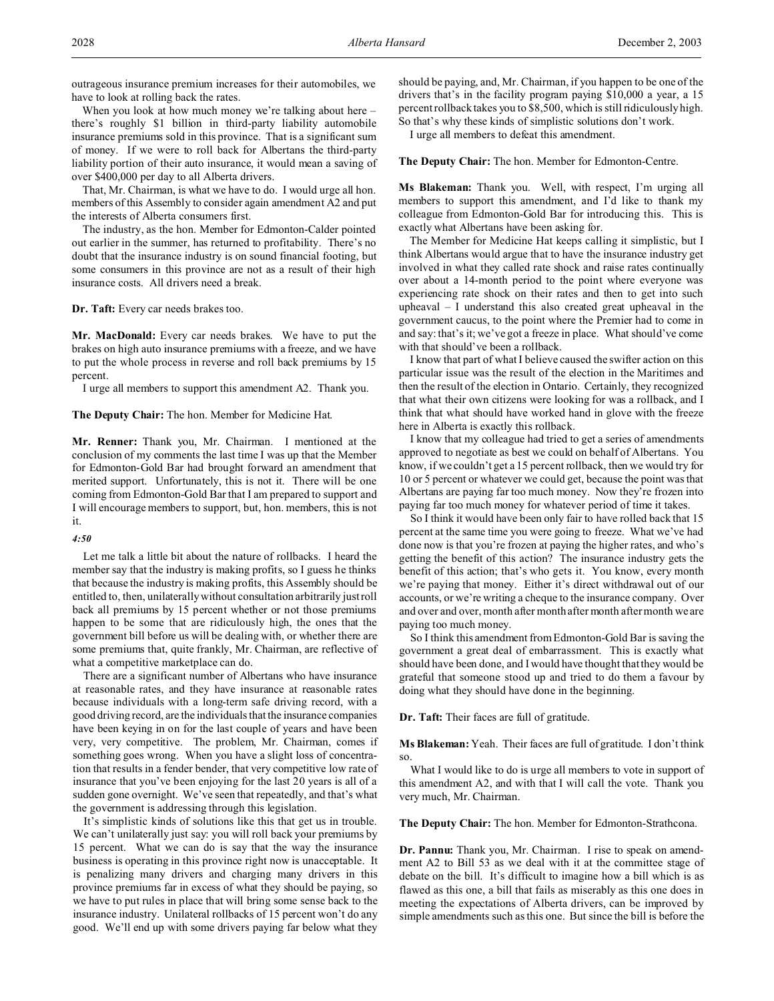outrageous insurance premium increases for their automobiles, we have to look at rolling back the rates.

When you look at how much money we're talking about here – there's roughly \$1 billion in third-party liability automobile insurance premiums sold in this province. That is a significant sum of money. If we were to roll back for Albertans the third-party liability portion of their auto insurance, it would mean a saving of over \$400,000 per day to all Alberta drivers.

That, Mr. Chairman, is what we have to do. I would urge all hon. members of this Assembly to consider again amendment A2 and put the interests of Alberta consumers first.

The industry, as the hon. Member for Edmonton-Calder pointed out earlier in the summer, has returned to profitability. There's no doubt that the insurance industry is on sound financial footing, but some consumers in this province are not as a result of their high insurance costs. All drivers need a break.

**Dr. Taft:** Every car needs brakes too.

**Mr. MacDonald:** Every car needs brakes. We have to put the brakes on high auto insurance premiums with a freeze, and we have to put the whole process in reverse and roll back premiums by 15 percent.

I urge all members to support this amendment A2. Thank you.

**The Deputy Chair:** The hon. Member for Medicine Hat.

**Mr. Renner:** Thank you, Mr. Chairman. I mentioned at the conclusion of my comments the last time I was up that the Member for Edmonton-Gold Bar had brought forward an amendment that merited support. Unfortunately, this is not it. There will be one coming from Edmonton-Gold Bar that I am prepared to support and I will encourage members to support, but, hon. members, this is not it.

### *4:50*

Let me talk a little bit about the nature of rollbacks. I heard the member say that the industry is making profits, so I guess he thinks that because the industry is making profits, this Assembly should be entitled to, then, unilaterally without consultation arbitrarily just roll back all premiums by 15 percent whether or not those premiums happen to be some that are ridiculously high, the ones that the government bill before us will be dealing with, or whether there are some premiums that, quite frankly, Mr. Chairman, are reflective of what a competitive marketplace can do.

There are a significant number of Albertans who have insurance at reasonable rates, and they have insurance at reasonable rates because individuals with a long-term safe driving record, with a good driving record, are the individuals that the insurance companies have been keying in on for the last couple of years and have been very, very competitive. The problem, Mr. Chairman, comes if something goes wrong. When you have a slight loss of concentration that results in a fender bender, that very competitive low rate of insurance that you've been enjoying for the last 20 years is all of a sudden gone overnight. We've seen that repeatedly, and that's what the government is addressing through this legislation.

It's simplistic kinds of solutions like this that get us in trouble. We can't unilaterally just say: you will roll back your premiums by 15 percent. What we can do is say that the way the insurance business is operating in this province right now is unacceptable. It is penalizing many drivers and charging many drivers in this province premiums far in excess of what they should be paying, so we have to put rules in place that will bring some sense back to the insurance industry. Unilateral rollbacks of 15 percent won't do any good. We'll end up with some drivers paying far below what they

should be paying, and, Mr. Chairman, if you happen to be one of the drivers that's in the facility program paying \$10,000 a year, a 15 percent rollback takes you to \$8,500, which is still ridiculously high. So that's why these kinds of simplistic solutions don't work.

I urge all members to defeat this amendment.

**The Deputy Chair:** The hon. Member for Edmonton-Centre.

**Ms Blakeman:** Thank you. Well, with respect, I'm urging all members to support this amendment, and I'd like to thank my colleague from Edmonton-Gold Bar for introducing this. This is exactly what Albertans have been asking for.

The Member for Medicine Hat keeps calling it simplistic, but I think Albertans would argue that to have the insurance industry get involved in what they called rate shock and raise rates continually over about a 14-month period to the point where everyone was experiencing rate shock on their rates and then to get into such upheaval – I understand this also created great upheaval in the government caucus, to the point where the Premier had to come in and say: that's it; we've got a freeze in place. What should've come with that should've been a rollback.

I know that part of what I believe caused the swifter action on this particular issue was the result of the election in the Maritimes and then the result of the election in Ontario. Certainly, they recognized that what their own citizens were looking for was a rollback, and I think that what should have worked hand in glove with the freeze here in Alberta is exactly this rollback.

I know that my colleague had tried to get a series of amendments approved to negotiate as best we could on behalf of Albertans. You know, if we couldn't get a 15 percent rollback, then we would try for 10 or 5 percent or whatever we could get, because the point was that Albertans are paying far too much money. Now they're frozen into paying far too much money for whatever period of time it takes.

So I think it would have been only fair to have rolled back that 15 percent at the same time you were going to freeze. What we've had done now is that you're frozen at paying the higher rates, and who's getting the benefit of this action? The insurance industry gets the benefit of this action; that's who gets it. You know, every month we're paying that money. Either it's direct withdrawal out of our accounts, or we're writing a cheque to the insurance company. Over and over and over, month after month after month after month we are paying too much money.

So I think this amendment from Edmonton-Gold Bar is saving the government a great deal of embarrassment. This is exactly what should have been done, and I would have thought that they would be grateful that someone stood up and tried to do them a favour by doing what they should have done in the beginning.

**Dr. Taft:** Their faces are full of gratitude.

**Ms Blakeman:** Yeah. Their faces are full of gratitude. I don't think so.

What I would like to do is urge all members to vote in support of this amendment A2, and with that I will call the vote. Thank you very much, Mr. Chairman.

**The Deputy Chair:** The hon. Member for Edmonton-Strathcona.

**Dr. Pannu:** Thank you, Mr. Chairman. I rise to speak on amendment A2 to Bill 53 as we deal with it at the committee stage of debate on the bill. It's difficult to imagine how a bill which is as flawed as this one, a bill that fails as miserably as this one does in meeting the expectations of Alberta drivers, can be improved by simple amendments such as this one. But since the bill is before the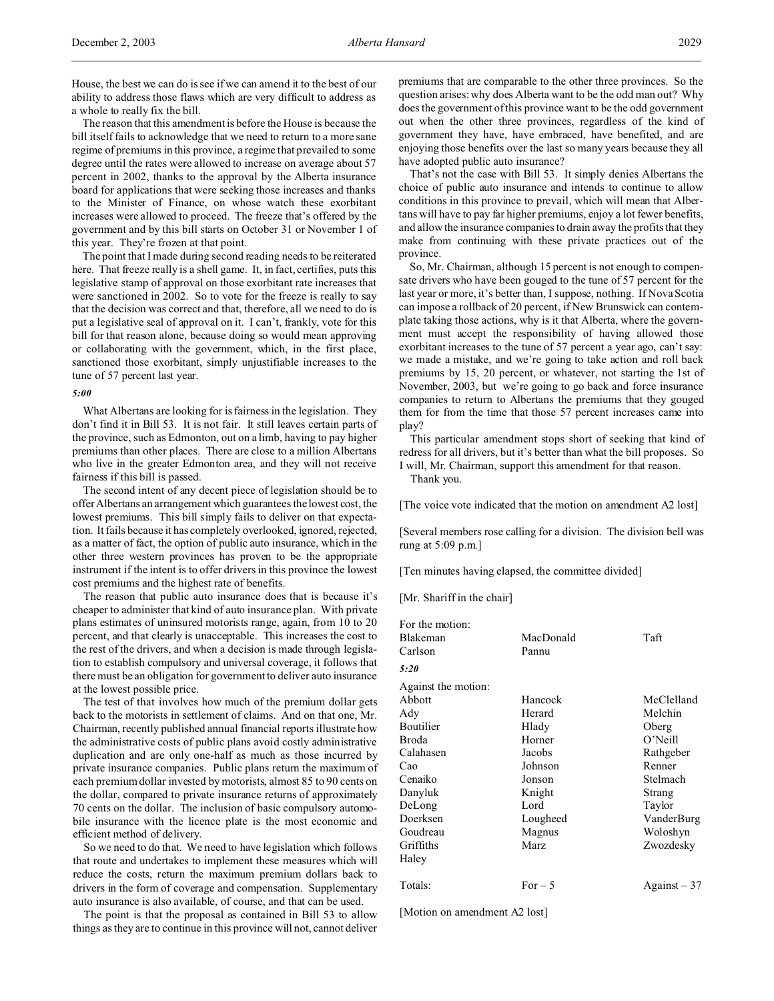House, the best we can do is see if we can amend it to the best of our ability to address those flaws which are very difficult to address as a whole to really fix the bill.

The reason that this amendment is before the House is because the bill itself fails to acknowledge that we need to return to a more sane regime of premiums in this province, a regime that prevailed to some degree until the rates were allowed to increase on average about 57 percent in 2002, thanks to the approval by the Alberta insurance board for applications that were seeking those increases and thanks to the Minister of Finance, on whose watch these exorbitant increases were allowed to proceed. The freeze that's offered by the government and by this bill starts on October 31 or November 1 of this year. They're frozen at that point.

The point that I made during second reading needs to be reiterated here. That freeze really is a shell game. It, in fact, certifies, puts this legislative stamp of approval on those exorbitant rate increases that were sanctioned in 2002. So to vote for the freeze is really to say that the decision was correct and that, therefore, all we need to do is put a legislative seal of approval on it. I can't, frankly, vote for this bill for that reason alone, because doing so would mean approving or collaborating with the government, which, in the first place, sanctioned those exorbitant, simply unjustifiable increases to the tune of 57 percent last year.

## *5:00*

What Albertans are looking for is fairness in the legislation. They don't find it in Bill 53. It is not fair. It still leaves certain parts of the province, such as Edmonton, out on a limb, having to pay higher premiums than other places. There are close to a million Albertans who live in the greater Edmonton area, and they will not receive fairness if this bill is passed.

The second intent of any decent piece of legislation should be to offer Albertans an arrangement which guarantees the lowest cost, the lowest premiums. This bill simply fails to deliver on that expectation. It fails because it has completely overlooked, ignored, rejected, as a matter of fact, the option of public auto insurance, which in the other three western provinces has proven to be the appropriate instrument if the intent is to offer drivers in this province the lowest cost premiums and the highest rate of benefits.

The reason that public auto insurance does that is because it's cheaper to administer that kind of auto insurance plan. With private plans estimates of uninsured motorists range, again, from 10 to 20 percent, and that clearly is unacceptable. This increases the cost to the rest of the drivers, and when a decision is made through legislation to establish compulsory and universal coverage, it follows that there must be an obligation for government to deliver auto insurance at the lowest possible price.

The test of that involves how much of the premium dollar gets back to the motorists in settlement of claims. And on that one, Mr. Chairman, recently published annual financial reports illustrate how the administrative costs of public plans avoid costly administrative duplication and are only one-half as much as those incurred by private insurance companies. Public plans return the maximum of each premium dollar invested by motorists, almost 85 to 90 cents on the dollar, compared to private insurance returns of approximately 70 cents on the dollar. The inclusion of basic compulsory automobile insurance with the licence plate is the most economic and efficient method of delivery.

So we need to do that. We need to have legislation which follows that route and undertakes to implement these measures which will reduce the costs, return the maximum premium dollars back to drivers in the form of coverage and compensation. Supplementary auto insurance is also available, of course, and that can be used.

The point is that the proposal as contained in Bill 53 to allow things as they are to continue in this province will not, cannot deliver premiums that are comparable to the other three provinces. So the question arises: why does Alberta want to be the odd man out? Why does the government of this province want to be the odd government out when the other three provinces, regardless of the kind of government they have, have embraced, have benefited, and are enjoying those benefits over the last so many years because they all have adopted public auto insurance?

That's not the case with Bill 53. It simply denies Albertans the choice of public auto insurance and intends to continue to allow conditions in this province to prevail, which will mean that Albertans will have to pay far higher premiums, enjoy a lot fewer benefits, and allow the insurance companies to drain away the profits that they make from continuing with these private practices out of the province.

So, Mr. Chairman, although 15 percent is not enough to compensate drivers who have been gouged to the tune of 57 percent for the last year or more, it's better than, I suppose, nothing. If Nova Scotia can impose a rollback of 20 percent, if New Brunswick can contemplate taking those actions, why is it that Alberta, where the government must accept the responsibility of having allowed those exorbitant increases to the tune of 57 percent a year ago, can't say: we made a mistake, and we're going to take action and roll back premiums by 15, 20 percent, or whatever, not starting the 1st of November, 2003, but we're going to go back and force insurance companies to return to Albertans the premiums that they gouged them for from the time that those 57 percent increases came into play?

This particular amendment stops short of seeking that kind of redress for all drivers, but it's better than what the bill proposes. So I will, Mr. Chairman, support this amendment for that reason.

Thank you.

[The voice vote indicated that the motion on amendment A2 lost]

[Several members rose calling for a division. The division bell was rung at 5:09 p.m.]

[Ten minutes having elapsed, the committee divided]

[Mr. Shariff in the chair]

| For the motion:     |           |               |
|---------------------|-----------|---------------|
| Blakeman            | MacDonald | Taft          |
| Carlson             | Pannu     |               |
| 5:20                |           |               |
| Against the motion: |           |               |
| Abbott              | Hancock   | McClelland    |
| Ady                 | Herard    | Melchin       |
| Boutilier           | Hlady     | Oberg         |
| Broda               | Horner    | O'Neill       |
| Calahasen           | Jacobs    | Rathgeber     |
| Cao                 | Johnson   | Renner        |
| Cenaiko             | Jonson    | Stelmach      |
| Danyluk             | Knight    | Strang        |
| DeLong              | Lord      | Taylor        |
| Doerksen            | Lougheed  | VanderBurg    |
| Goudreau            | Magnus    | Woloshyn      |
| Griffiths           | Marz      | Zwozdesky     |
| Haley               |           |               |
| Totals:             | For $-5$  | Against $-37$ |
|                     |           |               |

[Motion on amendment A2 lost]